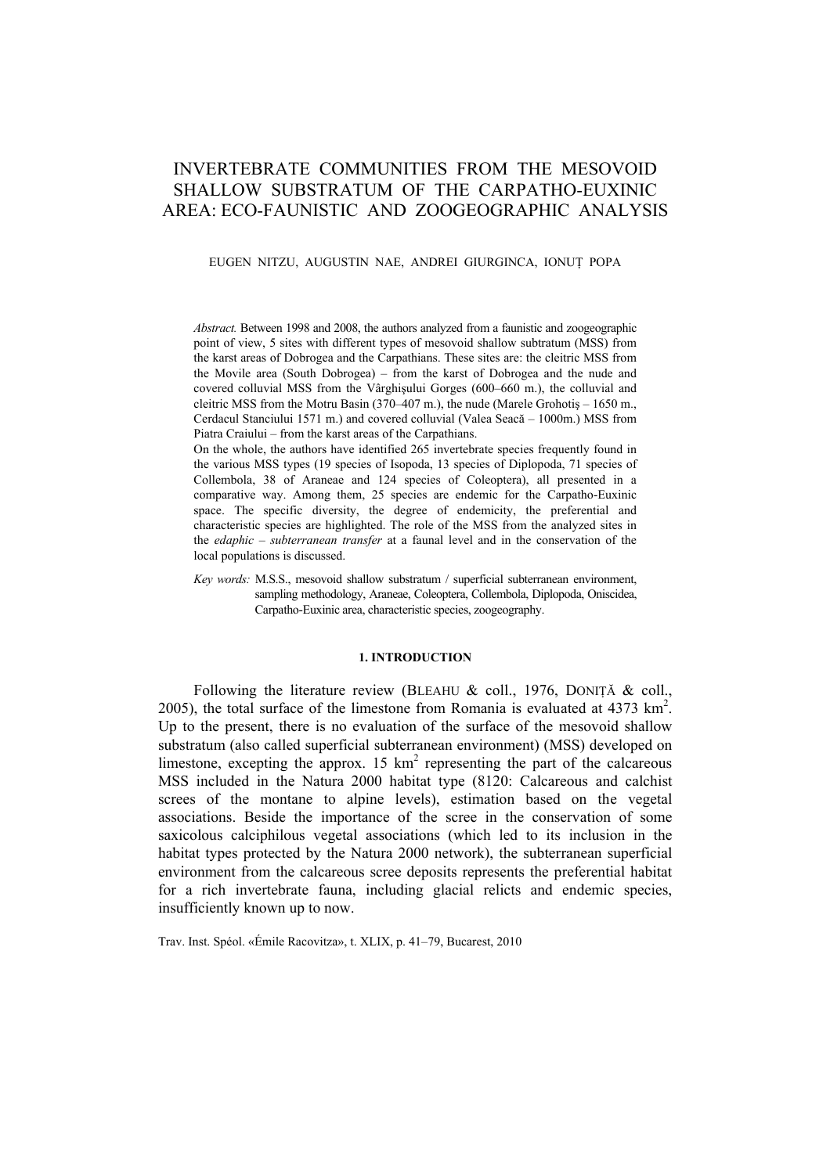# INVERTEBRATE COMMUNITIES FROM THE MESOVOID SHALLOW SUBSTRATUM OF THE CARPATHO-EUXINIC AREA: ECO-FAUNISTIC AND ZOOGEOGRAPHIC ANALYSIS

# EUGEN NITZU, AUGUSTIN NAE, ANDREI GIURGINCA, IONUŢ POPA

*Abstract.* Between 1998 and 2008, the authors analyzed from a faunistic and zoogeographic point of view, 5 sites with different types of mesovoid shallow subtratum (MSS) from the karst areas of Dobrogea and the Carpathians. These sites are: the cleitric MSS from the Movile area (South Dobrogea) – from the karst of Dobrogea and the nude and covered colluvial MSS from the Vârghişului Gorges (600–660 m.), the colluvial and cleitric MSS from the Motru Basin (370–407 m.), the nude (Marele Grohotiş – 1650 m., Cerdacul Stanciului 1571 m.) and covered colluvial (Valea Seacă – 1000m.) MSS from Piatra Craiului – from the karst areas of the Carpathians.

On the whole, the authors have identified 265 invertebrate species frequently found in the various MSS types (19 species of Isopoda, 13 species of Diplopoda, 71 species of Collembola, 38 of Araneae and 124 species of Coleoptera), all presented in a comparative way. Among them, 25 species are endemic for the Carpatho-Euxinic space. The specific diversity, the degree of endemicity, the preferential and characteristic species are highlighted. The role of the MSS from the analyzed sites in the *edaphic – subterranean transfer* at a faunal level and in the conservation of the local populations is discussed.

*Key words:* M.S.S., mesovoid shallow substratum / superficial subterranean environment, sampling methodology, Araneae, Coleoptera, Collembola, Diplopoda, Oniscidea, Carpatho-Euxinic area, characteristic species, zoogeography.

## **1. INTRODUCTION**

Following the literature review (BLEAHU & coll., 1976, DONIȚĂ & coll., 2005), the total surface of the limestone from Romania is evaluated at  $4373 \text{ km}^2$ . Up to the present, there is no evaluation of the surface of the mesovoid shallow substratum (also called superficial subterranean environment) (MSS) developed on limestone, excepting the approx. 15  $km^2$  representing the part of the calcareous MSS included in the Natura 2000 habitat type (8120: Calcareous and calchist screes of the montane to alpine levels), estimation based on the vegetal associations. Beside the importance of the scree in the conservation of some saxicolous calciphilous vegetal associations (which led to its inclusion in the habitat types protected by the Natura 2000 network), the subterranean superficial environment from the calcareous scree deposits represents the preferential habitat for a rich invertebrate fauna, including glacial relicts and endemic species, insufficiently known up to now.

Trav. Inst. Spéol. «Émile Racovitza», t. XLIX, p. 41–79, Bucarest, 2010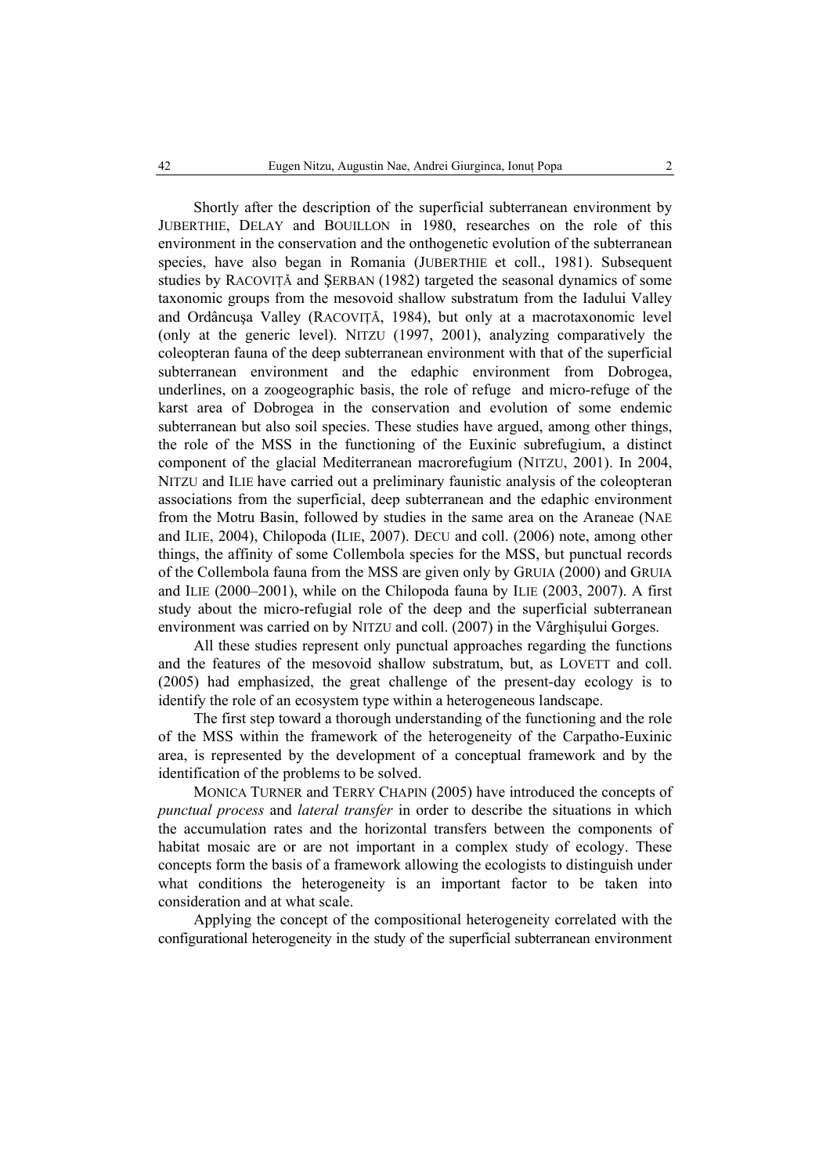Shortly after the description of the superficial subterranean environment by JUBERTHIE, DELAY and BOUILLON in 1980, researches on the role of this environment in the conservation and the onthogenetic evolution of the subterranean species, have also began in Romania (JUBERTHIE et coll., 1981). Subsequent studies by RACOVIŢĂ and ŞERBAN (1982) targeted the seasonal dynamics of some taxonomic groups from the mesovoid shallow substratum from the Iadului Valley and Ordâncuşa Valley (RACOVIŢĂ, 1984), but only at a macrotaxonomic level (only at the generic level). NITZU (1997, 2001), analyzing comparatively the coleopteran fauna of the deep subterranean environment with that of the superficial subterranean environment and the edaphic environment from Dobrogea, underlines, on a zoogeographic basis, the role of refuge and micro-refuge of the karst area of Dobrogea in the conservation and evolution of some endemic subterranean but also soil species. These studies have argued, among other things, the role of the MSS in the functioning of the Euxinic subrefugium, a distinct component of the glacial Mediterranean macrorefugium (NITZU, 2001). In 2004, NITZU and ILIE have carried out a preliminary faunistic analysis of the coleopteran associations from the superficial, deep subterranean and the edaphic environment from the Motru Basin, followed by studies in the same area on the Araneae (NAE and ILIE, 2004), Chilopoda (ILIE, 2007). DECU and coll. (2006) note, among other things, the affinity of some Collembola species for the MSS, but punctual records of the Collembola fauna from the MSS are given only by GRUIA (2000) and GRUIA and ILIE (2000–2001), while on the Chilopoda fauna by ILIE (2003, 2007). A first study about the micro-refugial role of the deep and the superficial subterranean environment was carried on by NITZU and coll. (2007) in the Vârghişului Gorges.

All these studies represent only punctual approaches regarding the functions and the features of the mesovoid shallow substratum, but, as LOVETT and coll. (2005) had emphasized, the great challenge of the present-day ecology is to identify the role of an ecosystem type within a heterogeneous landscape.

The first step toward a thorough understanding of the functioning and the role of the MSS within the framework of the heterogeneity of the Carpatho-Euxinic area, is represented by the development of a conceptual framework and by the identification of the problems to be solved.

MONICA TURNER and TERRY CHAPIN (2005) have introduced the concepts of *punctual process* and *lateral transfer* in order to describe the situations in which the accumulation rates and the horizontal transfers between the components of habitat mosaic are or are not important in a complex study of ecology. These concepts form the basis of a framework allowing the ecologists to distinguish under what conditions the heterogeneity is an important factor to be taken into consideration and at what scale.

Applying the concept of the compositional heterogeneity correlated with the configurational heterogeneity in the study of the superficial subterranean environment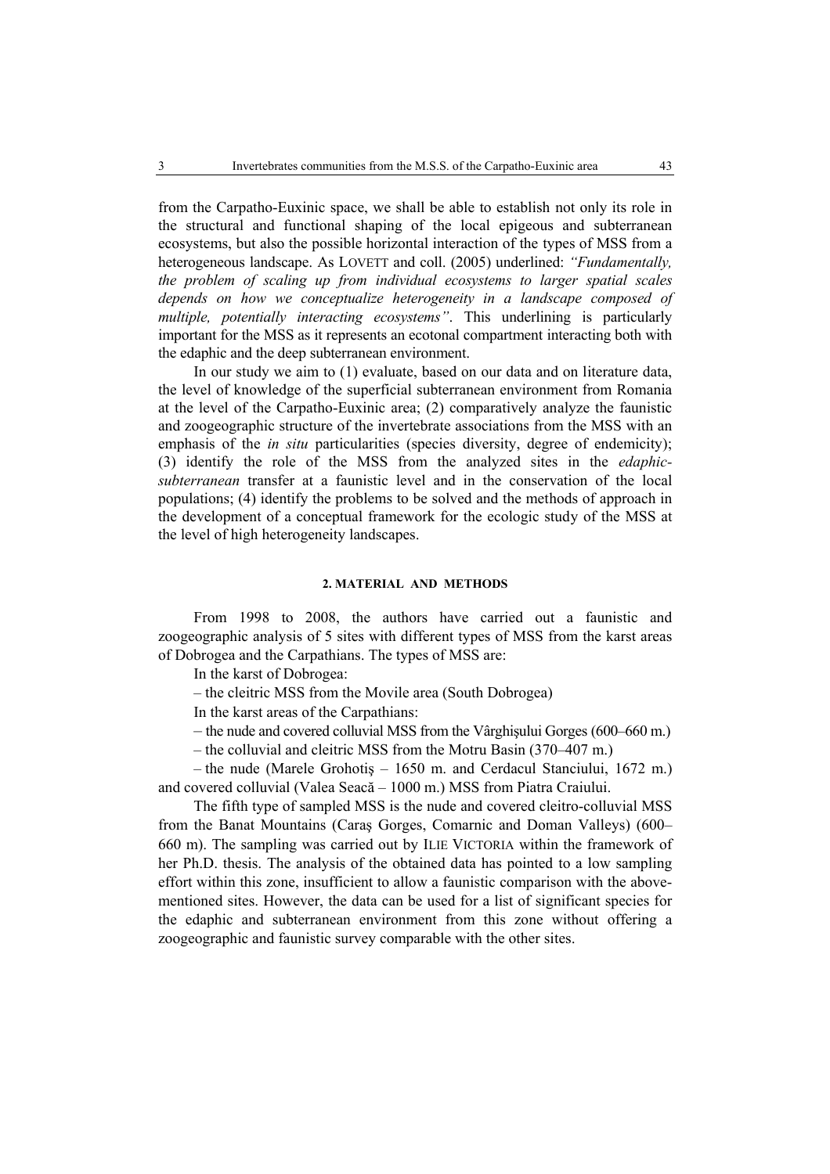from the Carpatho-Euxinic space, we shall be able to establish not only its role in the structural and functional shaping of the local epigeous and subterranean ecosystems, but also the possible horizontal interaction of the types of MSS from a heterogeneous landscape. As LOVETT and coll. (2005) underlined: *"Fundamentally, the problem of scaling up from individual ecosystems to larger spatial scales depends on how we conceptualize heterogeneity in a landscape composed of multiple, potentially interacting ecosystems"*. This underlining is particularly important for the MSS as it represents an ecotonal compartment interacting both with the edaphic and the deep subterranean environment.

In our study we aim to (1) evaluate, based on our data and on literature data, the level of knowledge of the superficial subterranean environment from Romania at the level of the Carpatho-Euxinic area; (2) comparatively analyze the faunistic and zoogeographic structure of the invertebrate associations from the MSS with an emphasis of the *in situ* particularities (species diversity, degree of endemicity); (3) identify the role of the MSS from the analyzed sites in the *edaphicsubterranean* transfer at a faunistic level and in the conservation of the local populations; (4) identify the problems to be solved and the methods of approach in the development of a conceptual framework for the ecologic study of the MSS at the level of high heterogeneity landscapes.

# **2. MATERIAL AND METHODS**

From 1998 to 2008, the authors have carried out a faunistic and zoogeographic analysis of 5 sites with different types of MSS from the karst areas of Dobrogea and the Carpathians. The types of MSS are:

In the karst of Dobrogea:

– the cleitric MSS from the Movile area (South Dobrogea)

In the karst areas of the Carpathians:

– the nude and covered colluvial MSS from the Vârghişului Gorges (600–660 m.)

– the colluvial and cleitric MSS from the Motru Basin (370–407 m.)

– the nude (Marele Grohotiş – 1650 m. and Cerdacul Stanciului, 1672 m.) and covered colluvial (Valea Seacă – 1000 m.) MSS from Piatra Craiului.

The fifth type of sampled MSS is the nude and covered cleitro-colluvial MSS from the Banat Mountains (Caraş Gorges, Comarnic and Doman Valleys) (600– 660 m). The sampling was carried out by ILIE VICTORIA within the framework of her Ph.D. thesis. The analysis of the obtained data has pointed to a low sampling effort within this zone, insufficient to allow a faunistic comparison with the abovementioned sites. However, the data can be used for a list of significant species for the edaphic and subterranean environment from this zone without offering a zoogeographic and faunistic survey comparable with the other sites.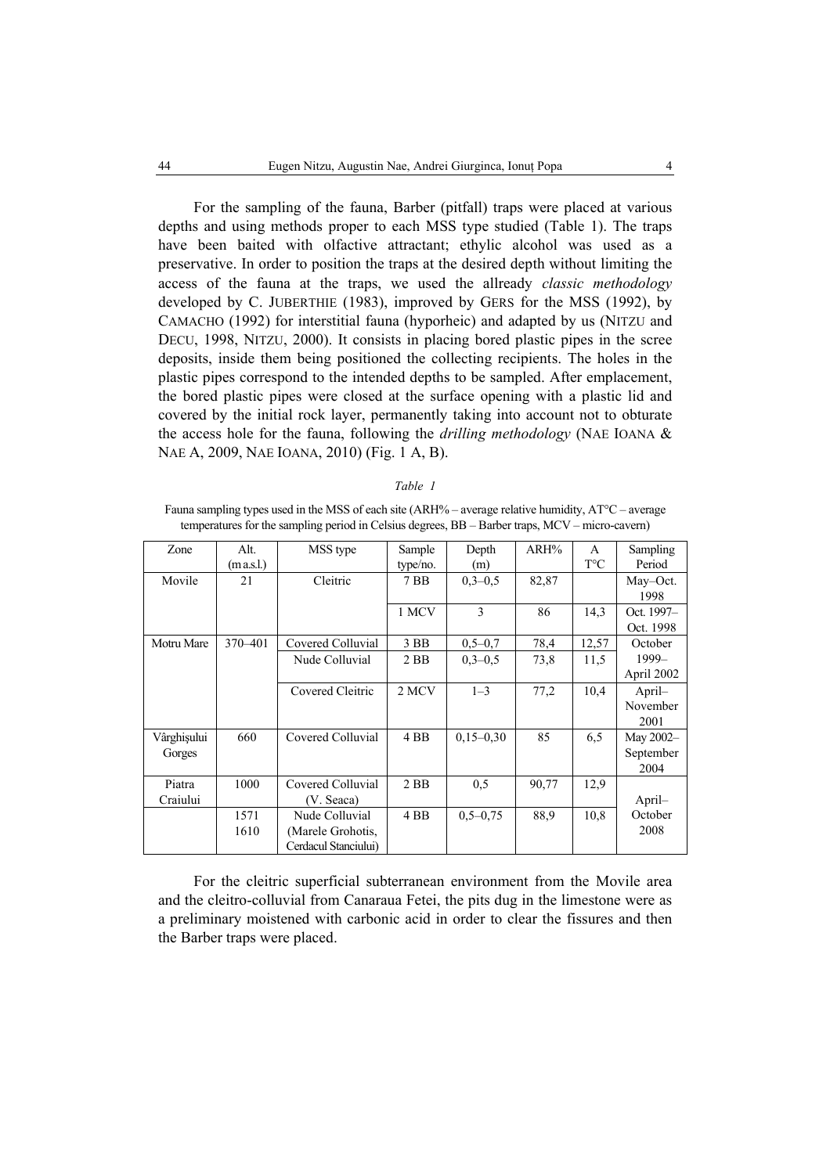For the sampling of the fauna, Barber (pitfall) traps were placed at various depths and using methods proper to each MSS type studied (Table 1). The traps have been baited with olfactive attractant; ethylic alcohol was used as a preservative. In order to position the traps at the desired depth without limiting the access of the fauna at the traps, we used the allready *classic methodology* developed by C. JUBERTHIE (1983), improved by GERS for the MSS (1992), by CAMACHO (1992) for interstitial fauna (hyporheic) and adapted by us (NITZU and DECU, 1998, NITZU, 2000). It consists in placing bored plastic pipes in the scree deposits, inside them being positioned the collecting recipients. The holes in the plastic pipes correspond to the intended depths to be sampled. After emplacement, the bored plastic pipes were closed at the surface opening with a plastic lid and covered by the initial rock layer, permanently taking into account not to obturate the access hole for the fauna, following the *drilling methodology* (NAE IOANA & NAE A, 2009, NAE IOANA, 2010) (Fig. 1 A, B).

#### *Table 1*

Fauna sampling types used in the MSS of each site (ARH% – average relative humidity, AT°C – average temperatures for the sampling period in Celsius degrees, BB – Barber traps, MCV – micro-cavern)

| Zone                  | Alt.<br>(m a.s.l.) | MSS type                                                    | Sample<br>type/no. | Depth<br>(m) | $ARH\%$ | A<br>$T^{\circ}C$ | Sampling<br>Period              |
|-----------------------|--------------------|-------------------------------------------------------------|--------------------|--------------|---------|-------------------|---------------------------------|
| Movile                | 21                 | Cleitric                                                    | 7 <sub>BB</sub>    | $0,3-0,5$    | 82,87   |                   | May-Oct.                        |
|                       |                    |                                                             | 1 MCV              | 3            | 86      | 14,3              | 1998<br>Oct. 1997-<br>Oct. 1998 |
| Motru Mare            | 370-401            | Covered Colluvial                                           | $3$ BB             | $0,5-0,7$    | 78,4    | 12,57             | October                         |
|                       |                    | Nude Colluvial                                              | $2$ BB             | $0,3-0,5$    | 73,8    | 11,5              | 1999-<br>April 2002             |
|                       |                    | Covered Cleitric                                            | 2 MCV              | $1 - 3$      | 77,2    | 10,4              | April-<br>November<br>2001      |
| Vârghișului<br>Gorges | 660                | Covered Colluvial                                           | 4 <sub>BB</sub>    | $0,15-0,30$  | 85      | 6,5               | May 2002-<br>September<br>2004  |
| Piatra<br>Craiului    | 1000               | Covered Colluvial<br>(V. Seaca)                             | $2$ BB             | 0.5          | 90,77   | 12,9              | April-                          |
|                       | 1571<br>1610       | Nude Colluvial<br>(Marele Grohotis,<br>Cerdacul Stanciului) | 4 <sub>BB</sub>    | $0.5 - 0.75$ | 88.9    | 10,8              | October<br>2008                 |

For the cleitric superficial subterranean environment from the Movile area and the cleitro-colluvial from Canaraua Fetei, the pits dug in the limestone were as a preliminary moistened with carbonic acid in order to clear the fissures and then the Barber traps were placed.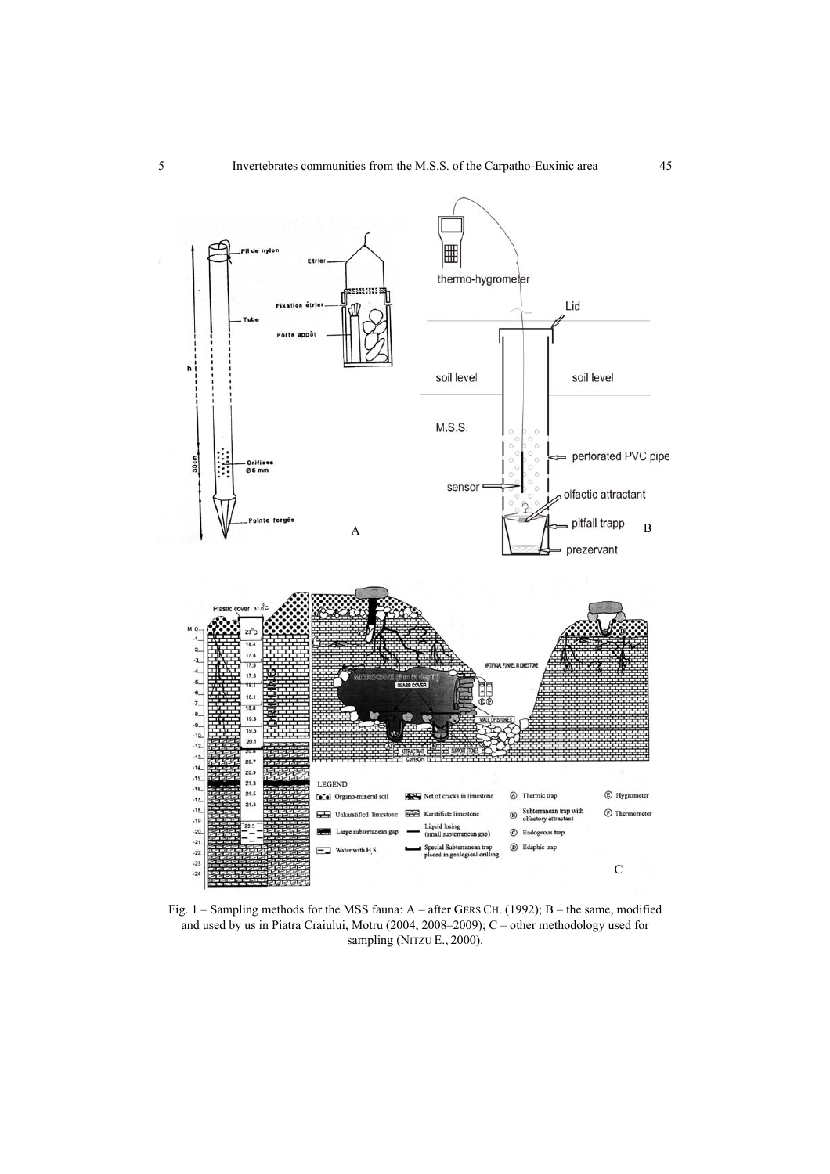

Fig. 1 – Sampling methods for the MSS fauna: A – after GERS CH. (1992); B – the same, modified and used by us in Piatra Craiului, Motru (2004, 2008–2009); C – other methodology used for sampling (NITZU E., 2000).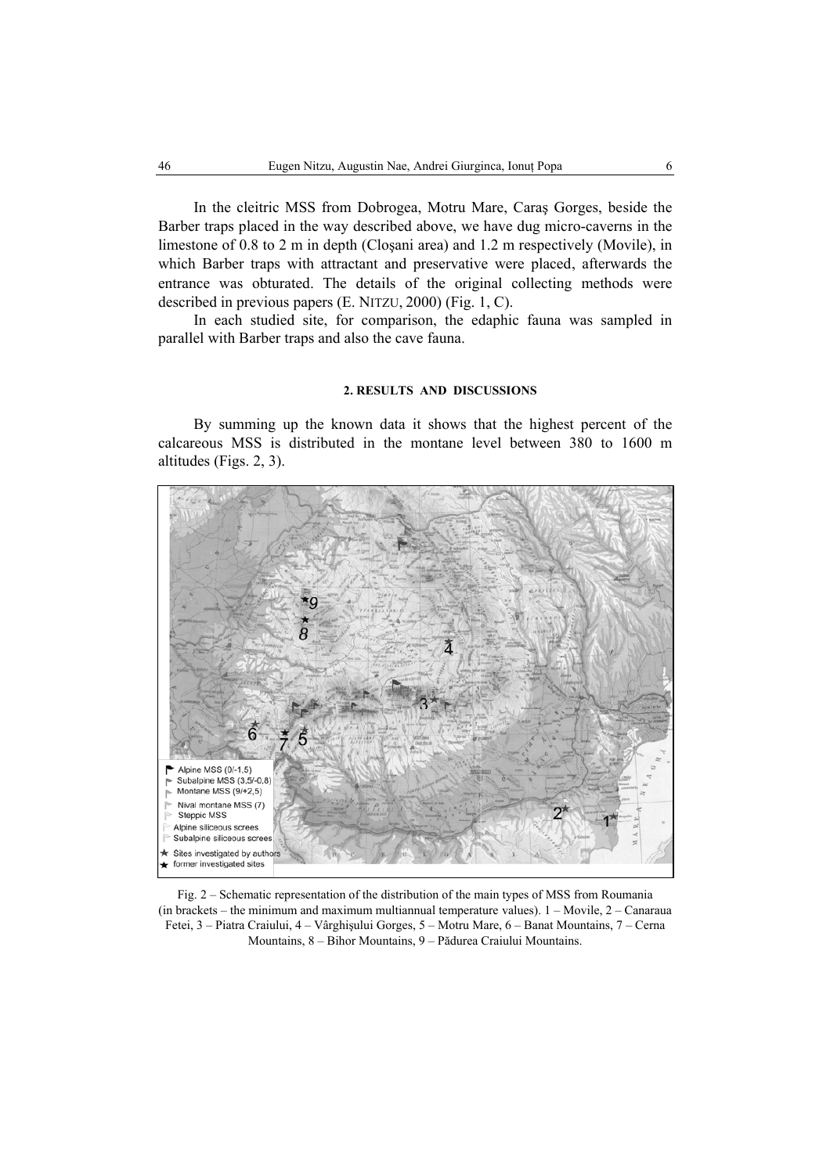In the cleitric MSS from Dobrogea, Motru Mare, Caraş Gorges, beside the Barber traps placed in the way described above, we have dug micro-caverns in the limestone of 0.8 to 2 m in depth (Cloşani area) and 1.2 m respectively (Movile), in which Barber traps with attractant and preservative were placed, afterwards the entrance was obturated. The details of the original collecting methods were described in previous papers (E. NITZU, 2000) (Fig. 1, C).

In each studied site, for comparison, the edaphic fauna was sampled in parallel with Barber traps and also the cave fauna.

## **2. RESULTS AND DISCUSSIONS**

By summing up the known data it shows that the highest percent of the calcareous MSS is distributed in the montane level between 380 to 1600 m altitudes (Figs. 2, 3).



Fig. 2 – Schematic representation of the distribution of the main types of MSS from Roumania (in brackets – the minimum and maximum multiannual temperature values). 1 – Movile, 2 – Canaraua Fetei, 3 – Piatra Craiului, 4 – Vârghişului Gorges, 5 – Motru Mare, 6 – Banat Mountains, 7 – Cerna Mountains, 8 – Bihor Mountains, 9 – Pădurea Craiului Mountains.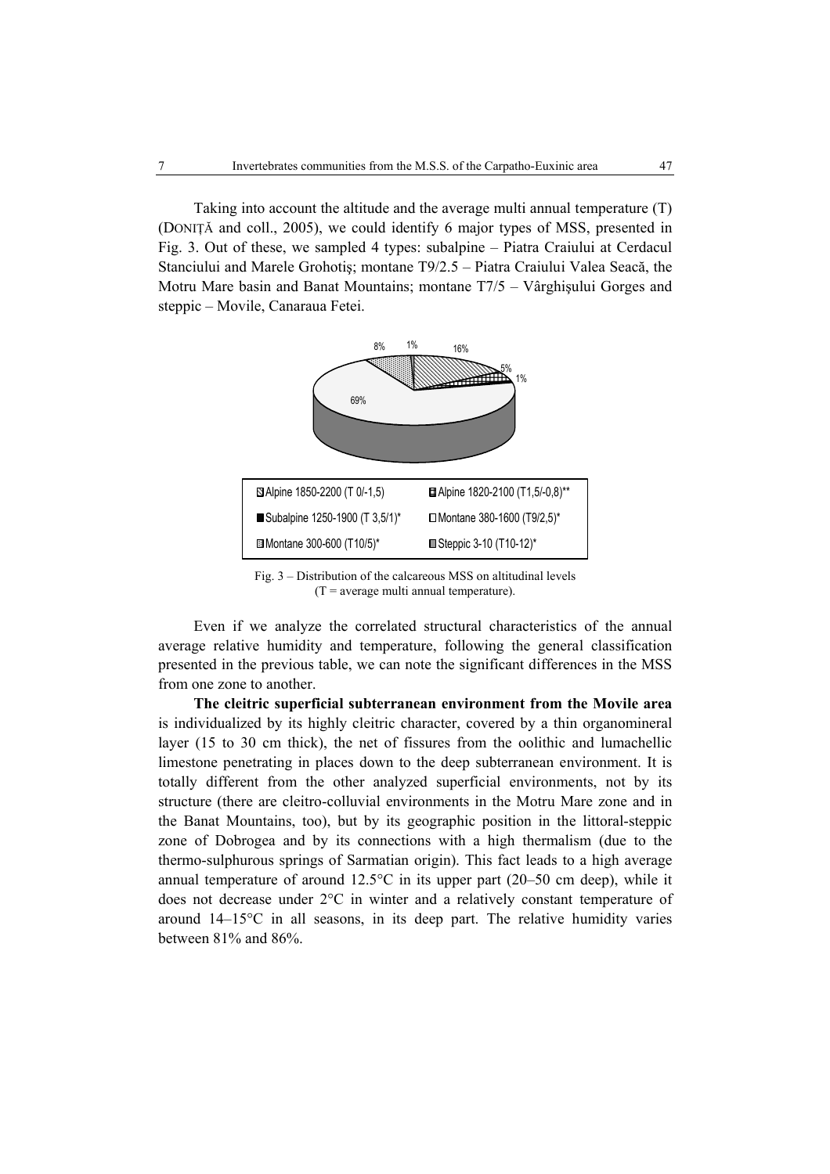Taking into account the altitude and the average multi annual temperature (T) (DONIŢĂ and coll., 2005), we could identify 6 major types of MSS, presented in Fig. 3. Out of these, we sampled 4 types: subalpine – Piatra Craiului at Cerdacul Stanciului and Marele Grohotiş; montane T9/2.5 – Piatra Craiului Valea Seacă, the Motru Mare basin and Banat Mountains; montane T7/5 – Vârghişului Gorges and steppic – Movile, Canaraua Fetei.



Fig. 3 – Distribution of the calcareous MSS on altitudinal levels  $(T = average \text{ multi annual temperature}).$ 

Even if we analyze the correlated structural characteristics of the annual average relative humidity and temperature, following the general classification presented in the previous table, we can note the significant differences in the MSS from one zone to another.

**The cleitric superficial subterranean environment from the Movile area** is individualized by its highly cleitric character, covered by a thin organomineral layer (15 to 30 cm thick), the net of fissures from the oolithic and lumachellic limestone penetrating in places down to the deep subterranean environment. It is totally different from the other analyzed superficial environments, not by its structure (there are cleitro-colluvial environments in the Motru Mare zone and in the Banat Mountains, too), but by its geographic position in the littoral-steppic zone of Dobrogea and by its connections with a high thermalism (due to the thermo-sulphurous springs of Sarmatian origin). This fact leads to a high average annual temperature of around 12.5°C in its upper part (20–50 cm deep), while it does not decrease under 2°C in winter and a relatively constant temperature of around 14–15°C in all seasons, in its deep part. The relative humidity varies between 81% and 86%.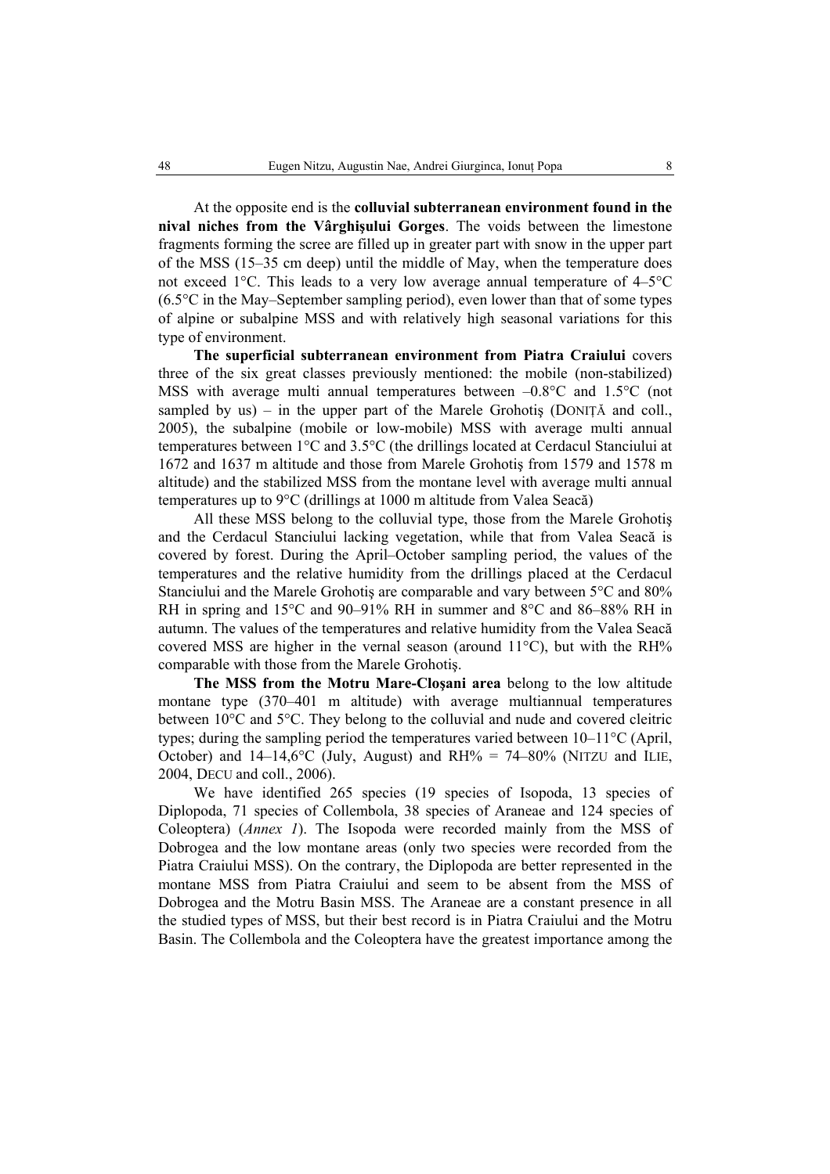At the opposite end is the **colluvial subterranean environment found in the nival niches from the Vârghişului Gorges**. The voids between the limestone fragments forming the scree are filled up in greater part with snow in the upper part of the MSS (15–35 cm deep) until the middle of May, when the temperature does not exceed 1°C. This leads to a very low average annual temperature of 4–5°C (6.5°C in the May–September sampling period), even lower than that of some types of alpine or subalpine MSS and with relatively high seasonal variations for this type of environment.

**The superficial subterranean environment from Piatra Craiului** covers three of the six great classes previously mentioned: the mobile (non-stabilized) MSS with average multi annual temperatures between  $-0.8^{\circ}$ C and  $1.5^{\circ}$ C (not sampled by us) – in the upper part of the Marele Grohotis (DONITĂ and coll., 2005), the subalpine (mobile or low-mobile) MSS with average multi annual temperatures between 1°C and 3.5°C (the drillings located at Cerdacul Stanciului at 1672 and 1637 m altitude and those from Marele Grohotiş from 1579 and 1578 m altitude) and the stabilized MSS from the montane level with average multi annual temperatures up to 9°C (drillings at 1000 m altitude from Valea Seacă)

All these MSS belong to the colluvial type, those from the Marele Grohotiş and the Cerdacul Stanciului lacking vegetation, while that from Valea Seacă is covered by forest. During the April–October sampling period, the values of the temperatures and the relative humidity from the drillings placed at the Cerdacul Stanciului and the Marele Grohotiş are comparable and vary between 5°C and 80% RH in spring and 15°C and 90–91% RH in summer and 8°C and 86–88% RH in autumn. The values of the temperatures and relative humidity from the Valea Seacă covered MSS are higher in the vernal season (around 11°C), but with the RH% comparable with those from the Marele Grohotiş.

**The MSS from the Motru Mare-Cloşani area** belong to the low altitude montane type (370–401 m altitude) with average multiannual temperatures between 10°C and 5°C. They belong to the colluvial and nude and covered cleitric types; during the sampling period the temperatures varied between 10–11°C (April, October) and  $14-14,6^{\circ}$ C (July, August) and RH% = 74–80% (NITZU and ILIE, 2004, DECU and coll., 2006).

We have identified 265 species (19 species of Isopoda, 13 species of Diplopoda, 71 species of Collembola, 38 species of Araneae and 124 species of Coleoptera) (*Annex 1*). The Isopoda were recorded mainly from the MSS of Dobrogea and the low montane areas (only two species were recorded from the Piatra Craiului MSS). On the contrary, the Diplopoda are better represented in the montane MSS from Piatra Craiului and seem to be absent from the MSS of Dobrogea and the Motru Basin MSS. The Araneae are a constant presence in all the studied types of MSS, but their best record is in Piatra Craiului and the Motru Basin. The Collembola and the Coleoptera have the greatest importance among the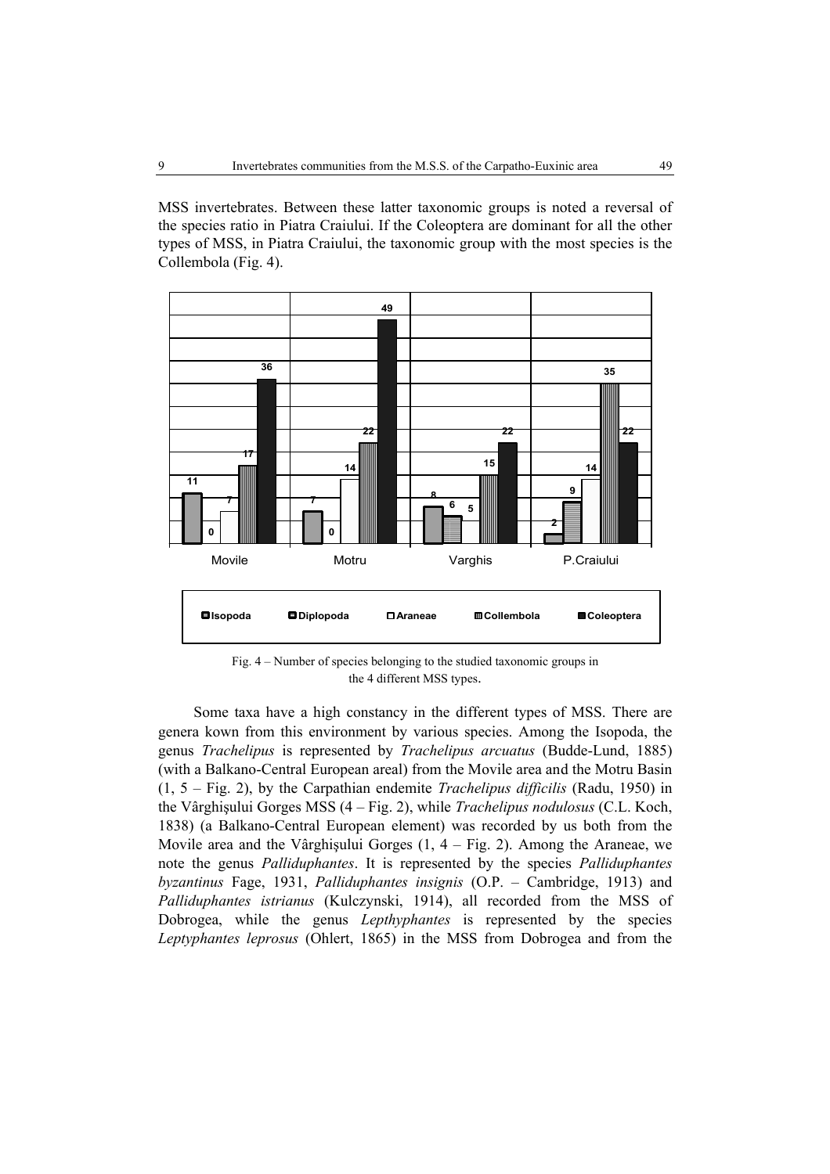MSS invertebrates. Between these latter taxonomic groups is noted a reversal of the species ratio in Piatra Craiului. If the Coleoptera are dominant for all the other types of MSS, in Piatra Craiului, the taxonomic group with the most species is the Collembola (Fig. 4).



Fig. 4 – Number of species belonging to the studied taxonomic groups in the 4 different MSS types.

Some taxa have a high constancy in the different types of MSS. There are genera kown from this environment by various species. Among the Isopoda, the genus *Trachelipus* is represented by *Trachelipus arcuatus* (Budde-Lund, 1885) (with a Balkano-Central European areal) from the Movile area and the Motru Basin (1, 5 – Fig. 2), by the Carpathian endemite *Trachelipus difficilis* (Radu, 1950) in the Vârghişului Gorges MSS (4 – Fig. 2), while *Trachelipus nodulosus* (C.L. Koch, 1838) (a Balkano-Central European element) was recorded by us both from the Movile area and the Vârghişului Gorges (1, 4 – Fig. 2). Among the Araneae, we note the genus *Palliduphantes*. It is represented by the species *Palliduphantes byzantinus* Fage, 1931, *Palliduphantes insignis* (O.P. – Cambridge, 1913) and *Palliduphantes istrianus* (Kulczynski, 1914), all recorded from the MSS of Dobrogea, while the genus *Lepthyphantes* is represented by the species *Leptyphantes leprosus* (Ohlert, 1865) in the MSS from Dobrogea and from the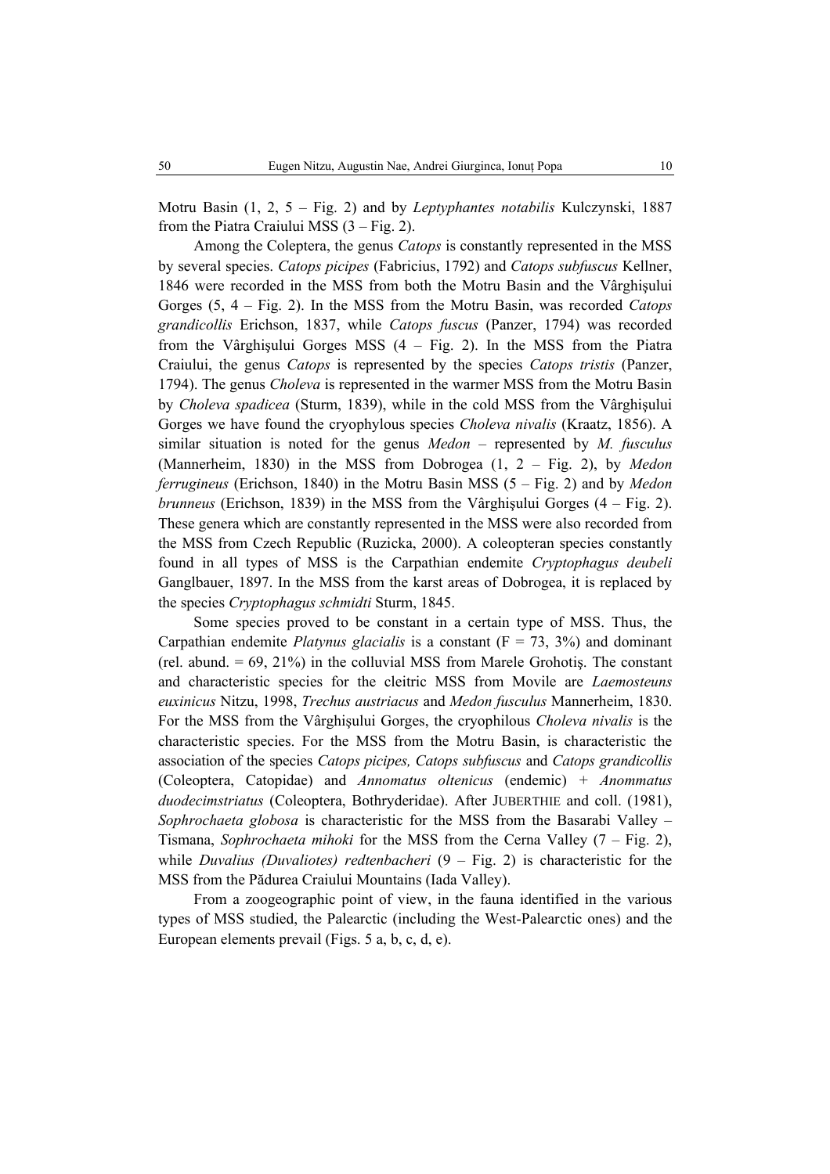Motru Basin (1, 2, 5 – Fig. 2) and by *Leptyphantes notabilis* Kulczynski, 1887 from the Piatra Craiului MSS (3 – Fig. 2).

Among the Coleptera, the genus *Catops* is constantly represented in the MSS by several species. *Catops picipes* (Fabricius, 1792) and *Catops subfuscus* Kellner, 1846 were recorded in the MSS from both the Motru Basin and the Vârghişului Gorges (5, 4 – Fig. 2). In the MSS from the Motru Basin, was recorded *Catops grandicollis* Erichson, 1837, while *Catops fuscus* (Panzer, 1794) was recorded from the Vârghişului Gorges MSS (4 – Fig. 2). In the MSS from the Piatra Craiului, the genus *Catops* is represented by the species *Catops tristis* (Panzer, 1794). The genus *Choleva* is represented in the warmer MSS from the Motru Basin by *Choleva spadicea* (Sturm, 1839), while in the cold MSS from the Vârghişului Gorges we have found the cryophylous species *Choleva nivalis* (Kraatz, 1856). A similar situation is noted for the genus *Medon* – represented by *M. fusculus* (Mannerheim, 1830) in the MSS from Dobrogea (1, 2 – Fig. 2), by *Medon ferrugineus* (Erichson, 1840) in the Motru Basin MSS (5 – Fig. 2) and by *Medon brunneus* (Erichson, 1839) in the MSS from the Vârghişului Gorges (4 – Fig. 2). These genera which are constantly represented in the MSS were also recorded from the MSS from Czech Republic (Ruzicka, 2000). A coleopteran species constantly found in all types of MSS is the Carpathian endemite *Cryptophagus deubeli* Ganglbauer, 1897. In the MSS from the karst areas of Dobrogea, it is replaced by the species *Cryptophagus schmidti* Sturm, 1845.

Some species proved to be constant in a certain type of MSS. Thus, the Carpathian endemite *Platynus glacialis* is a constant (F = 73, 3%) and dominant (rel. abund.  $= 69, 21\%$ ) in the colluvial MSS from Marele Grohotis. The constant and characteristic species for the cleitric MSS from Movile are *Laemosteuns euxinicus* Nitzu, 1998, *Trechus austriacus* and *Medon fusculus* Mannerheim, 1830. For the MSS from the Vârghişului Gorges, the cryophilous *Choleva nivalis* is the characteristic species. For the MSS from the Motru Basin, is characteristic the association of the species *Catops picipes, Catops subfuscus* and *Catops grandicollis*  (Coleoptera, Catopidae) and *Annomatus oltenicus* (endemic) *+ Anommatus duodecimstriatus* (Coleoptera, Bothryderidae). After JUBERTHIE and coll. (1981), *Sophrochaeta globosa* is characteristic for the MSS from the Basarabi Valley – Tismana, *Sophrochaeta mihoki* for the MSS from the Cerna Valley (7 – Fig. 2), while *Duvalius (Duvaliotes) redtenbacheri* (9 – Fig. 2) is characteristic for the MSS from the Pădurea Craiului Mountains (Iada Valley).

From a zoogeographic point of view, in the fauna identified in the various types of MSS studied, the Palearctic (including the West-Palearctic ones) and the European elements prevail (Figs. 5 a, b, c, d, e).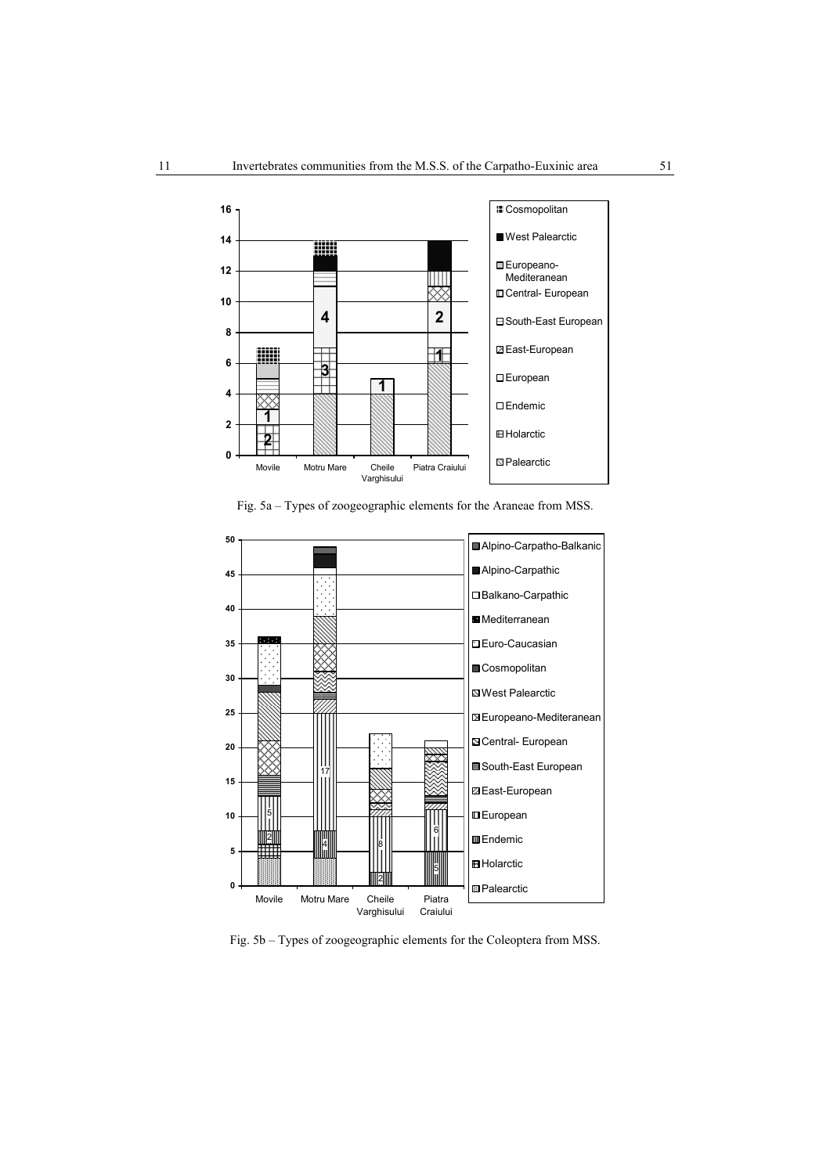

Fig. 5a – Types of zoogeographic elements for the Araneae from MSS.



Fig. 5b – Types of zoogeographic elements for the Coleoptera from MSS.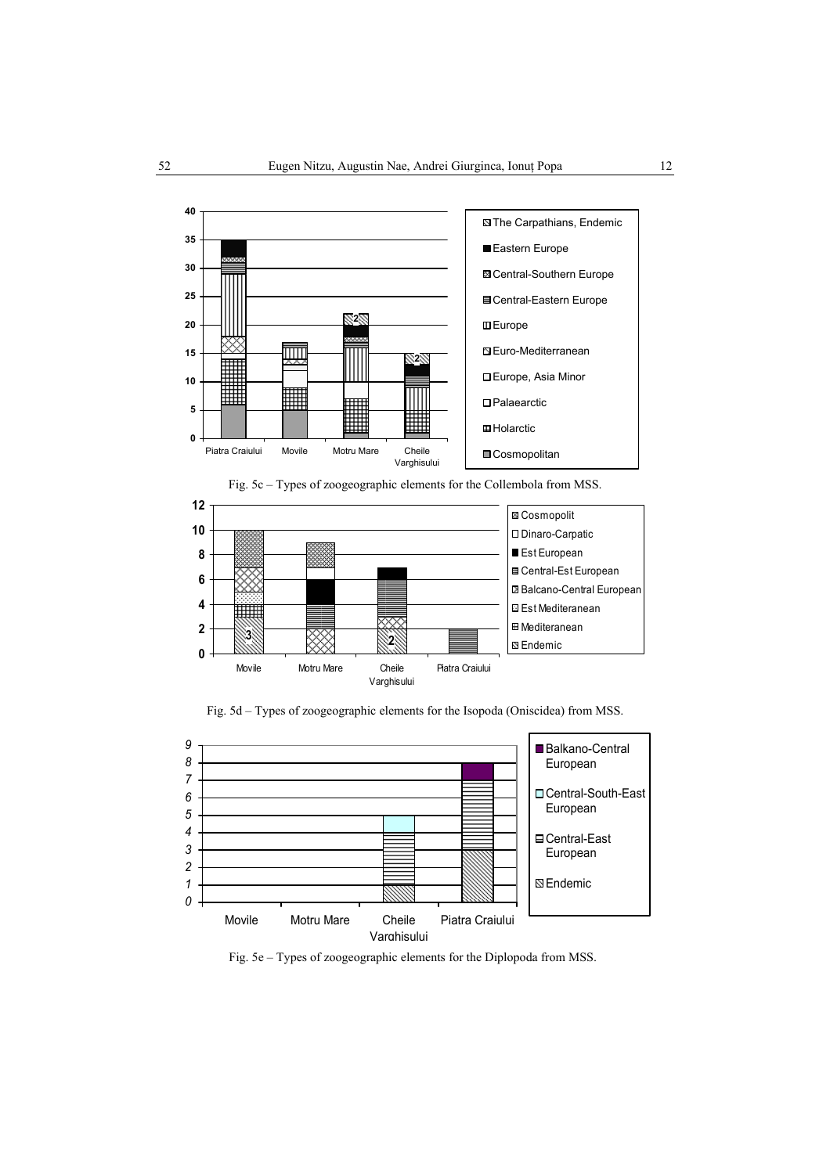







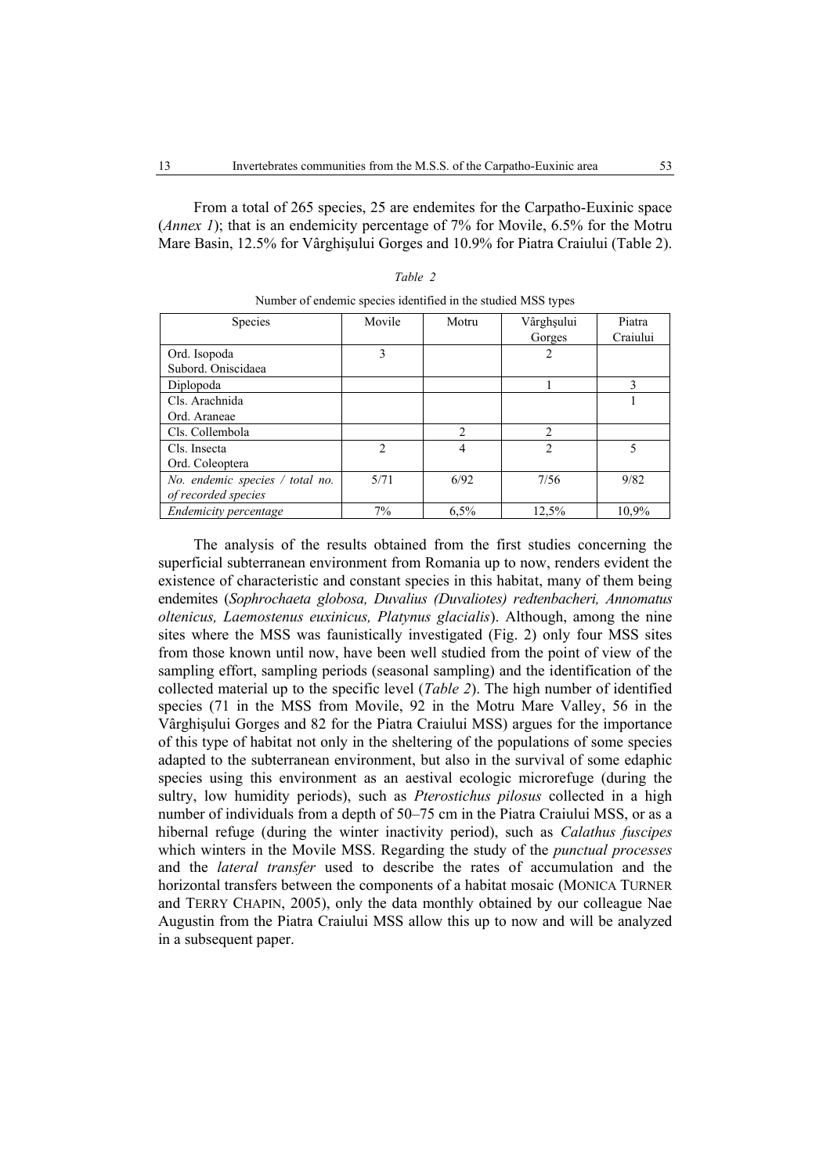From a total of 265 species, 25 are endemites for the Carpatho-Euxinic space (*Annex 1*); that is an endemicity percentage of 7% for Movile, 6.5% for the Motru Mare Basin, 12.5% for Vârghişului Gorges and 10.9% for Piatra Craiului (Table 2).

| <b>Species</b>                  | Movile         | Motru          | Vârghșului     | Piatra   |
|---------------------------------|----------------|----------------|----------------|----------|
|                                 |                |                | Gorges         | Craiului |
| Ord. Isopoda                    | 3              |                | 2              |          |
| Subord. Oniscidaea              |                |                |                |          |
| Diplopoda                       |                |                |                | 3        |
| Cls. Arachnida                  |                |                |                |          |
| Ord. Araneae                    |                |                |                |          |
| Cls. Collembola                 |                | $\mathfrak{D}$ | $\mathfrak{D}$ |          |
| Cls. Insecta                    | $\overline{2}$ | 4              | 2              | 5        |
| Ord. Coleoptera                 |                |                |                |          |
| No. endemic species / total no. | 5/71           | 6/92           | 7/56           | 9/82     |
| of recorded species             |                |                |                |          |
| Endemicity percentage           | 7%             | 6.5%           | 12,5%          | 10.9%    |

| וו<br>ar. |  |
|-----------|--|
|-----------|--|

| Number of endemic species identified in the studied MSS types |        |       |            |
|---------------------------------------------------------------|--------|-------|------------|
| <i><b>Snecies</b></i>                                         | Movile | Motru | Vârøhsului |

The analysis of the results obtained from the first studies concerning the superficial subterranean environment from Romania up to now, renders evident the existence of characteristic and constant species in this habitat, many of them being endemites (*Sophrochaeta globosa, Duvalius (Duvaliotes) redtenbacheri, Annomatus oltenicus, Laemostenus euxinicus, Platynus glacialis*). Although, among the nine sites where the MSS was faunistically investigated (Fig. 2) only four MSS sites from those known until now, have been well studied from the point of view of the sampling effort, sampling periods (seasonal sampling) and the identification of the collected material up to the specific level (*Table 2*). The high number of identified species (71 in the MSS from Movile, 92 in the Motru Mare Valley, 56 in the Vârghişului Gorges and 82 for the Piatra Craiului MSS) argues for the importance of this type of habitat not only in the sheltering of the populations of some species adapted to the subterranean environment, but also in the survival of some edaphic species using this environment as an aestival ecologic microrefuge (during the sultry, low humidity periods), such as *Pterostichus pilosus* collected in a high number of individuals from a depth of 50–75 cm in the Piatra Craiului MSS, or as a hibernal refuge (during the winter inactivity period), such as *Calathus fuscipes* which winters in the Movile MSS. Regarding the study of the *punctual processes*  and the *lateral transfer* used to describe the rates of accumulation and the horizontal transfers between the components of a habitat mosaic (MONICA TURNER and TERRY CHAPIN, 2005), only the data monthly obtained by our colleague Nae Augustin from the Piatra Craiului MSS allow this up to now and will be analyzed in a subsequent paper.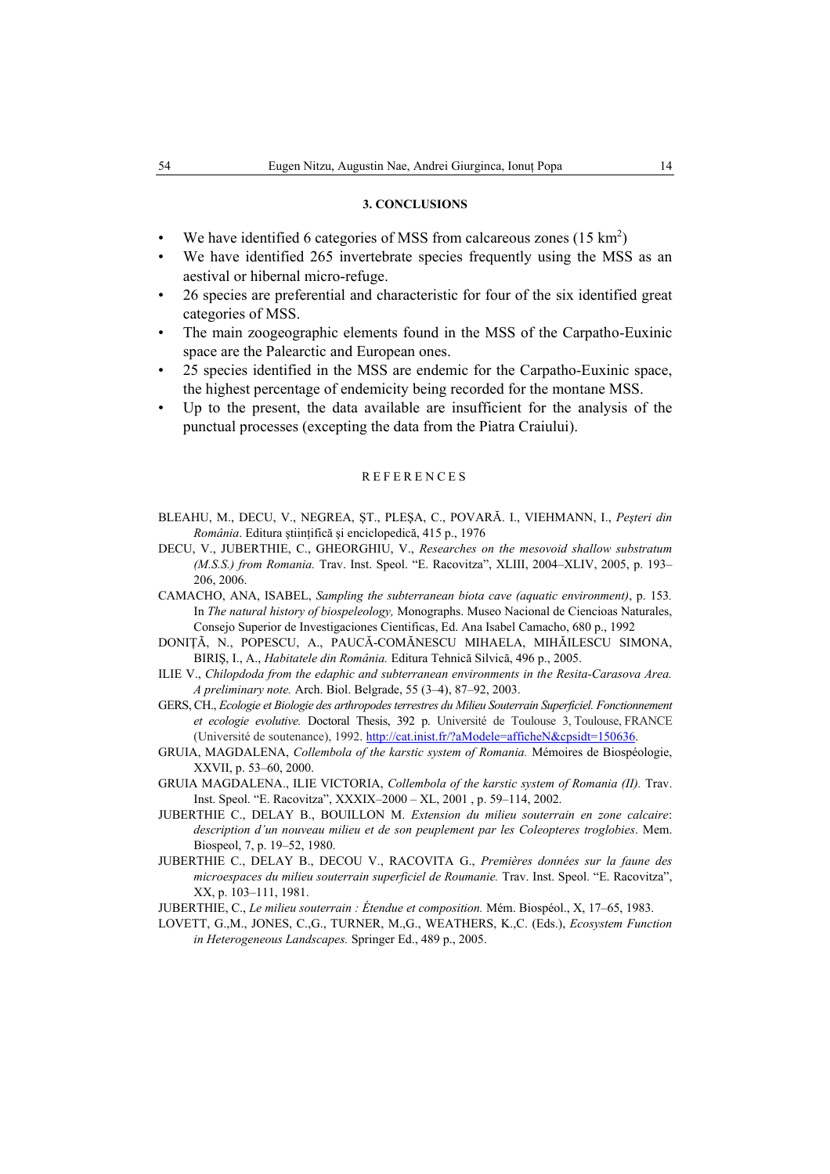# **3. CONCLUSIONS**

- We have identified 6 categories of MSS from calcareous zones  $(15 \text{ km}^2)$
- We have identified 265 invertebrate species frequently using the MSS as an aestival or hibernal micro-refuge.
- 26 species are preferential and characteristic for four of the six identified great categories of MSS.
- The main zoogeographic elements found in the MSS of the Carpatho-Euxinic space are the Palearctic and European ones.
- 25 species identified in the MSS are endemic for the Carpatho-Euxinic space, the highest percentage of endemicity being recorded for the montane MSS.
- Up to the present, the data available are insufficient for the analysis of the punctual processes (excepting the data from the Piatra Craiului).

#### **REFERENCES**

- BLEAHU, M., DECU, V., NEGREA, ŞT., PLEŞA, C., POVARĂ. I., VIEHMANN, I., *Peşteri din România*. Editura ştiinţifică şi enciclopedică, 415 p., 1976
- DECU, V., JUBERTHIE, C., GHEORGHIU, V., *Researches on the mesovoid shallow substratum (M.S.S.) from Romania.* Trav. Inst. Speol. "E. Racovitza", XLIII, 2004–XLIV, 2005, p. 193– 206, 2006.
- CAMACHO, ANA, ISABEL, *Sampling the subterranean biota cave (aquatic environment)*, p. 153*.*  In *The natural history of biospeleology,* Monographs. Museo Nacional de Ciencioas Naturales, Consejo Superior de Investigaciones Cientificas, Ed. Ana Isabel Camacho, 680 p., 1992
- DONIŢÃ, N., POPESCU, A., PAUCĂ-COMĂNESCU MIHAELA, MIHĂILESCU SIMONA, BIRIŞ, I., A., *Habitatele din România.* Editura Tehnică Silvică, 496 p., 2005.
- ILIE V., *Chilopdoda from the edaphic and subterranean environments in the Resita-Carasova Area. A preliminary note.* Arch. Biol. Belgrade, 55 (3–4), 87–92, 2003.
- GERS, CH., *Ecologie et Biologie des arthropodes terrestres du Milieu Souterrain Superficiel. Fonctionnement et ecologie evolutive.* Doctoral Thesis, 392 p. Université de Toulouse 3, Toulouse, FRANCE (Université de soutenance), 1992. http://cat.inist.fr/?aModele=afficheN&cpsidt=150636.
- GRUIA, MAGDALENA, *Collembola of the karstic system of Romania.* Mémoires de Biospéologie, XXVII, p. 53–60, 2000.
- GRUIA MAGDALENA., ILIE VICTORIA, *Collembola of the karstic system of Romania (II).* Trav. Inst. Speol. "E. Racovitza", XXXIX–2000 – XL, 2001 , p. 59–114, 2002.
- JUBERTHIE C., DELAY B., BOUILLON M. *Extension du milieu souterrain en zone calcaire*: *description d'un nouveau milieu et de son peuplement par les Coleopteres troglobies*. Mem. Biospeol, 7, p. 19–52, 1980.
- JUBERTHIE C., DELAY B., DECOU V., RACOVITA G., *Premières données sur la faune des microespaces du milieu souterrain superficiel de Roumanie.* Trav. Inst. Speol. "E. Racovitza", XX, p. 103–111, 1981.
- JUBERTHIE, C., *Le milieu souterrain : Étendue et composition.* Mém. Biospéol., X, 17–65, 1983.
- LOVETT, G.,M., JONES, C.,G., TURNER, M.,G., WEATHERS, K.,C. (Eds.), *Ecosystem Function in Heterogeneous Landscapes.* Springer Ed., 489 p., 2005.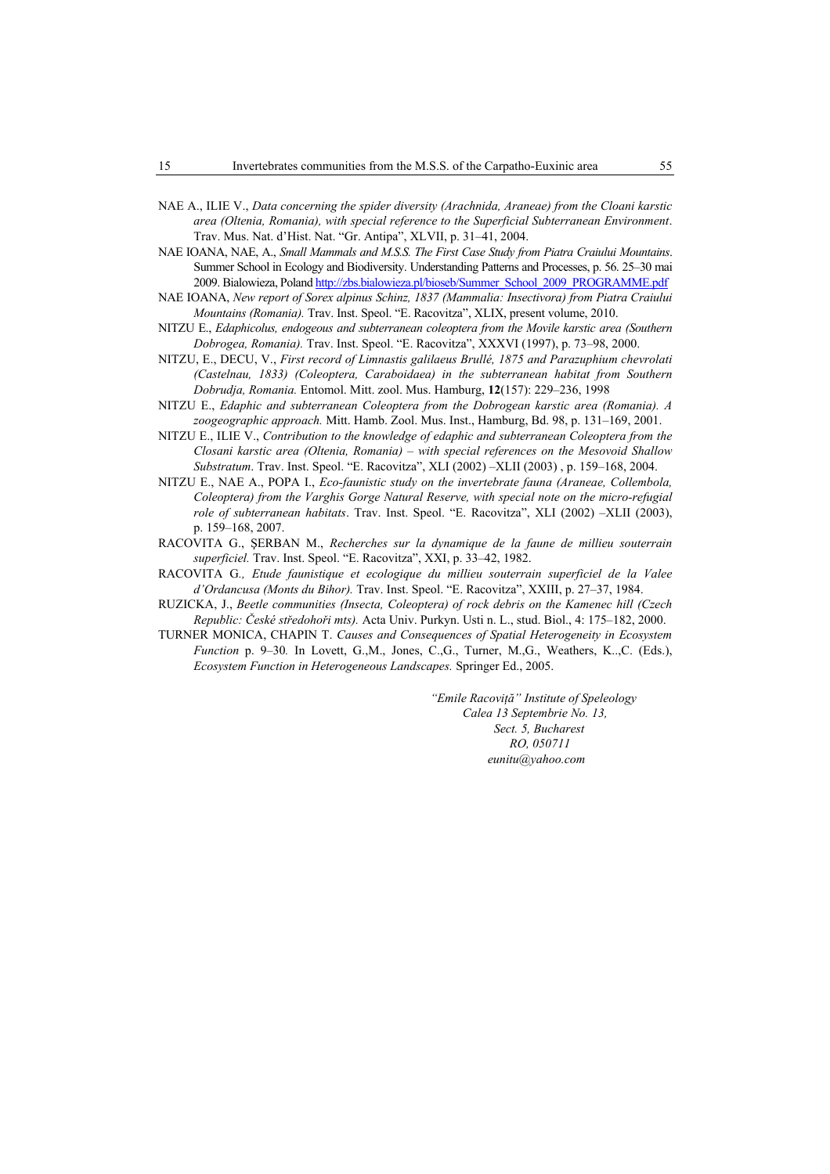- NAE A., ILIE V., *Data concerning the spider diversity (Arachnida, Araneae) from the Cloani karstic area (Oltenia, Romania), with special reference to the Superficial Subterranean Environment*. Trav. Mus. Nat. d'Hist. Nat. "Gr. Antipa", XLVII, p. 31–41, 2004.
- NAE IOANA, NAE, A., *Small Mammals and M.S.S. The First Case Study from Piatra Craiului Mountains*. Summer School in Ecology and Biodiversity. Understanding Patterns and Processes, p. 56. 25–30 mai 2009. Bialowieza, Poland http://zbs.bialowieza.pl/bioseb/Summer\_School\_2009\_PROGRAMME.pdf
- NAE IOANA, *New report of Sorex alpinus Schinz, 1837 (Mammalia: Insectivora) from Piatra Craiului Mountains (Romania).* Trav. Inst. Speol. "E. Racovitza", XLIX, present volume, 2010.
- NITZU E., *Edaphicolus, endogeous and subterranean coleoptera from the Movile karstic area (Southern Dobrogea, Romania).* Trav. Inst. Speol. "E. Racovitza", XXXVI (1997), p. 73–98, 2000.
- NITZU, E., DECU, V., *First record of Limnastis galilaeus Brullé, 1875 and Parazuphium chevrolati (Castelnau, 1833) (Coleoptera, Caraboidaea) in the subterranean habitat from Southern Dobrudja, Romania.* Entomol. Mitt. zool. Mus. Hamburg, **12**(157): 229–236, 1998
- NITZU E., *Edaphic and subterranean Coleoptera from the Dobrogean karstic area (Romania). A zoogeographic approach.* Mitt. Hamb. Zool. Mus. Inst., Hamburg, Bd. 98, p. 131–169, 2001.
- NITZU E., ILIE V., *Contribution to the knowledge of edaphic and subterranean Coleoptera from the Closani karstic area (Oltenia, Romania) – with special references on the Mesovoid Shallow Substratum*. Trav. Inst. Speol. "E. Racovitza", XLI (2002) –XLII (2003) , p. 159–168, 2004.
- NITZU E., NAE A., POPA I., *Eco-faunistic study on the invertebrate fauna (Araneae, Collembola, Coleoptera) from the Varghis Gorge Natural Reserve, with special note on the micro-refugial role of subterranean habitats*. Trav. Inst. Speol. "E. Racovitza", XLI (2002) –XLII (2003), p. 159–168, 2007.
- RACOVITA G., ŞERBAN M., *Recherches sur la dynamique de la faune de millieu souterrain superficiel.* Trav. Inst. Speol. "E. Racovitza", XXI, p. 33–42, 1982.
- RACOVITA G*., Etude faunistique et ecologique du millieu souterrain superficiel de la Valee d'Ordancusa (Monts du Bihor).* Trav. Inst. Speol. "E. Racovitza", XXIII, p. 27–37, 1984.
- RUZICKA, J., *Beetle communities (Insecta, Coleoptera) of rock debris on the Kamenec hill (Czech Republic: České středohoři mts).* Acta Univ. Purkyn. Usti n. L., stud. Biol., 4: 175–182, 2000.
- TURNER MONICA, CHAPIN T. *Causes and Consequences of Spatial Heterogeneity in Ecosystem Function* p. 9–30*.* In Lovett, G.,M., Jones, C.,G., Turner, M.,G., Weathers, K..,C. (Eds.), *Ecosystem Function in Heterogeneous Landscapes.* Springer Ed., 2005.

*"Emile Racoviţă" Institute of Speleology Calea 13 Septembrie No. 13, Sect. 5, Bucharest RO, 050711 eunitu@yahoo.com*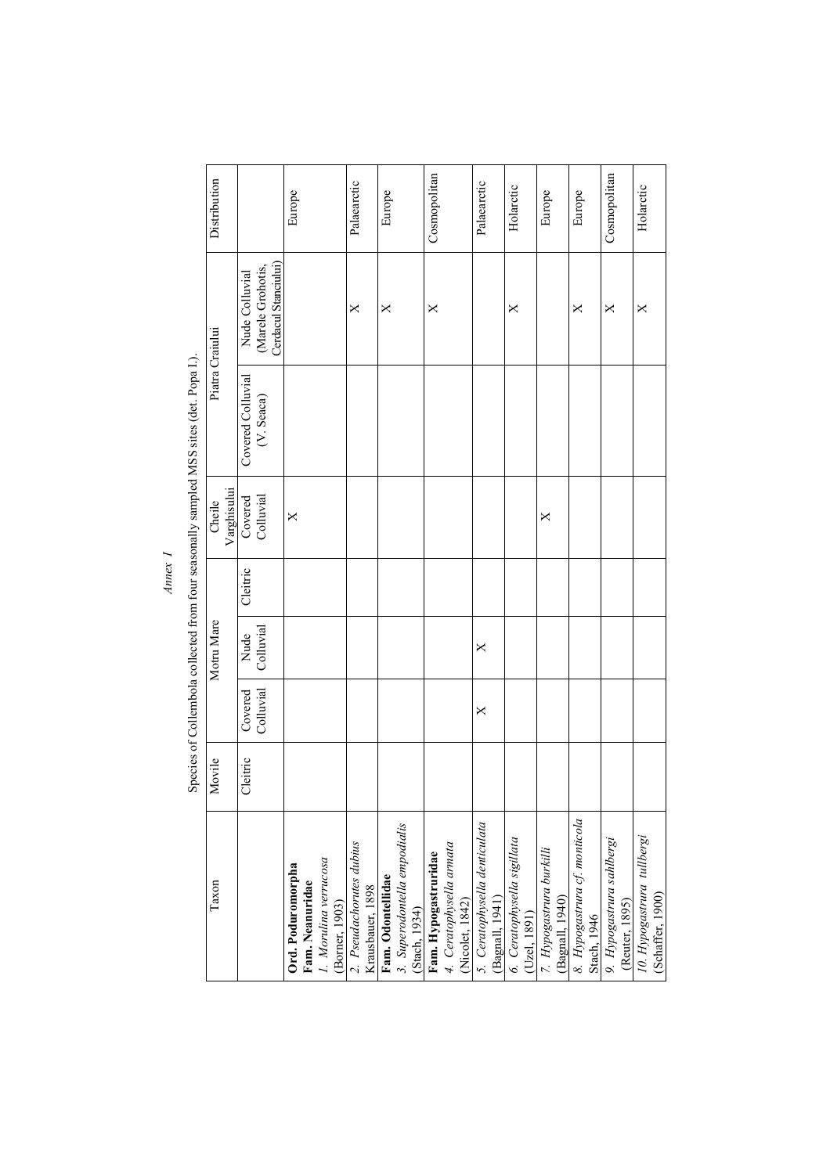| 2. Pseudachorutes dubius<br>1. Morulina verrucosa<br>(Borner, 1903)<br>Ord. Poduromorpha<br>Fam. Neanuridae<br>Taxon<br>Krausbauer, 1898 | Movile<br>Cleitric | Colluvial<br>Covered | Motru Mare<br>Colluvial<br>Nude | Cleitric | Varghisului<br>Colluvial<br>Covered<br>Cheile<br>$\times$ | Species of the state of the state of the state of the state of the state of the state of the state of the state of the state of the state of the state of the state of the state of the state of the state of the state of th<br>Covered Colluvial<br>(V. Seaca) | Cerdacul Stanciului)<br>(Marele Grohotis,<br>Nude Colluvial<br>X<br>Piatra Craiului | Distribution<br>Palaearctic<br>Europe |
|------------------------------------------------------------------------------------------------------------------------------------------|--------------------|----------------------|---------------------------------|----------|-----------------------------------------------------------|------------------------------------------------------------------------------------------------------------------------------------------------------------------------------------------------------------------------------------------------------------------|-------------------------------------------------------------------------------------|---------------------------------------|
| Fam. Odontellidae<br>3. Superodontella empodialis                                                                                        |                    |                      |                                 |          |                                                           |                                                                                                                                                                                                                                                                  | ×                                                                                   | Europe                                |
| 4. Ceratophysella armata<br>(Nicolet, 1842)<br>Fam. Hypogastruridae                                                                      |                    |                      |                                 |          |                                                           |                                                                                                                                                                                                                                                                  | X                                                                                   | Cosmopolitan                          |
| 5. Ceratophysella denticulata<br>(Bagnall, 1941)                                                                                         |                    | $\times$             | $\times$                        |          |                                                           |                                                                                                                                                                                                                                                                  |                                                                                     | Palaearctic                           |
| 6. Ceratophysella sigillata                                                                                                              |                    |                      |                                 |          |                                                           |                                                                                                                                                                                                                                                                  | ×                                                                                   | Holarctic                             |
| 7. Hypogastrura burkilli                                                                                                                 |                    |                      |                                 |          | ×                                                         |                                                                                                                                                                                                                                                                  |                                                                                     | Europe                                |
| 8. Hypogastrura cf. monticola                                                                                                            |                    |                      |                                 |          |                                                           |                                                                                                                                                                                                                                                                  | ×                                                                                   | Europe                                |
| 9. Hypogastrura sahlbergi<br>(Reuter, 1895)                                                                                              |                    |                      |                                 |          |                                                           |                                                                                                                                                                                                                                                                  | X                                                                                   | Cosmopolitan                          |
| 10. Hypogastrura tullbergi                                                                                                               |                    |                      |                                 |          |                                                           |                                                                                                                                                                                                                                                                  | $\times$                                                                            | Holarctic                             |

Species of Collembola collected from four seasonally sampled MSS sites (det. Popa I.). Species of Collembola collected from four seasonally sampled MSS sites (det. Popa I.).

*Annex I* 

 $Amex I$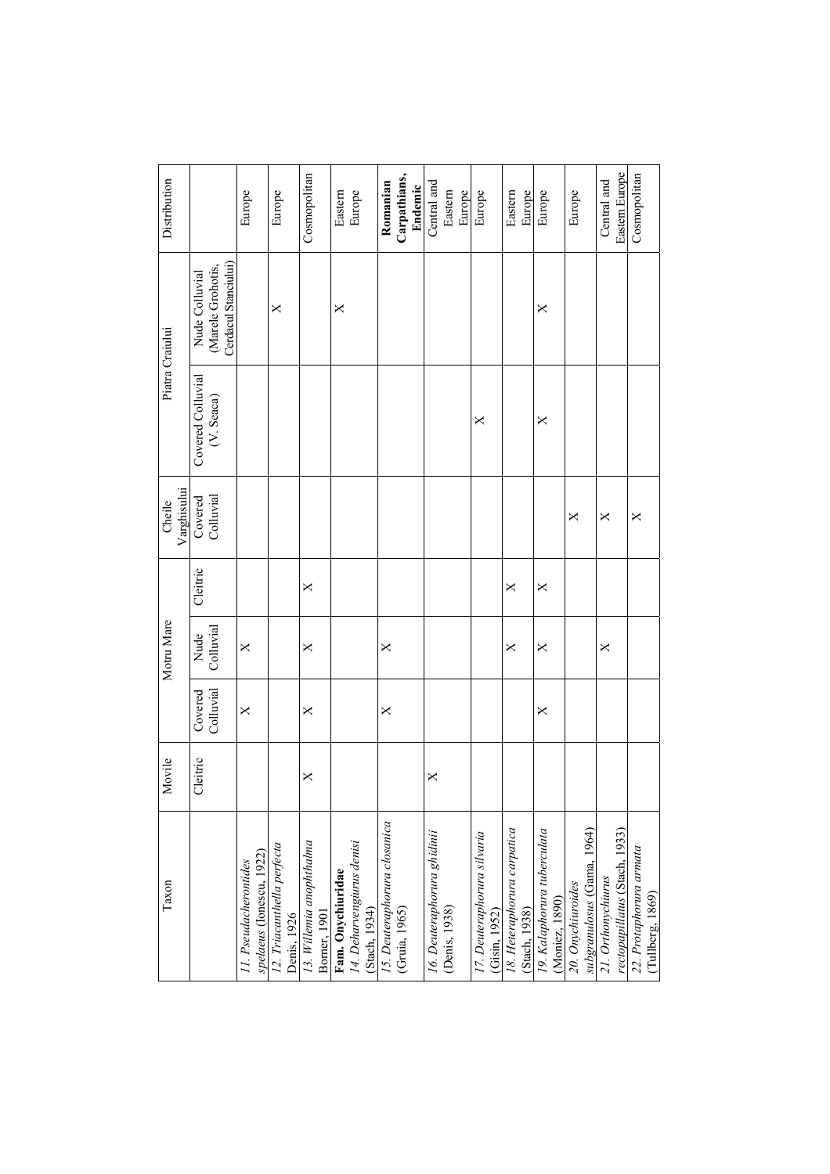| Taxon                                        | <b>lovile</b><br>⋝ |                      | Motru Mare        |          | Cheile                                       |                                 | Piatra Craiului                                             | Distribution   |
|----------------------------------------------|--------------------|----------------------|-------------------|----------|----------------------------------------------|---------------------------------|-------------------------------------------------------------|----------------|
|                                              |                    |                      |                   |          | Varghisului                                  |                                 |                                                             |                |
|                                              | Cleitric           | Colluvial<br>Covered | Colluvial<br>Nude | Cleitric | Colluvial<br>$\mathop{\rm Covered}\nolimits$ | Covered Colluvial<br>(V. Seaca) | Cerdacul Stanciului)<br>(Marele Grohotis,<br>Nude Colluvial |                |
| 11. Pseudacherontides                        |                    | $\times$             | $\times$          |          |                                              |                                 |                                                             | Europe         |
| spelaeus (Ionescu, 1922)                     |                    |                      |                   |          |                                              |                                 |                                                             |                |
| 12. Triacanthella perfecta                   |                    |                      |                   |          |                                              |                                 | ×                                                           | Europe         |
| Denis, 1926                                  |                    |                      |                   |          |                                              |                                 |                                                             |                |
| 13. Willemia anophthalma                     | X                  | X                    | X                 | X        |                                              |                                 |                                                             | Cosmopolitan   |
| Borner, 1901                                 |                    |                      |                   |          |                                              |                                 |                                                             |                |
| Fam. Onychiuridae                            |                    |                      |                   |          |                                              |                                 | X                                                           | Eastern        |
| 14. Deharvengiurus denisi                    |                    |                      |                   |          |                                              |                                 |                                                             | Europe         |
| (Stach, 1934)                                |                    |                      |                   |          |                                              |                                 |                                                             |                |
| 15. Deuteraphorura closanica                 |                    | X                    | ×                 |          |                                              |                                 |                                                             | Romanian       |
| (Gruia, 1965)                                |                    |                      |                   |          |                                              |                                 |                                                             | Carpathians,   |
|                                              |                    |                      |                   |          |                                              |                                 |                                                             | Endemic        |
| 16. Deuteraphorura ghidinii                  | X                  |                      |                   |          |                                              |                                 |                                                             | Central and    |
| (Denis, 1938)                                |                    |                      |                   |          |                                              |                                 |                                                             | Eastern        |
|                                              |                    |                      |                   |          |                                              |                                 |                                                             | Europe         |
| 17. Deuteraphorura silvaria<br>(Gisin, 1952) |                    |                      |                   |          |                                              | ×                               |                                                             | Europe         |
| 18. Heteraphorura carpatica                  |                    |                      | $\times$          | ×        |                                              |                                 |                                                             | Eastern        |
| (Stach, 1938)                                |                    |                      |                   |          |                                              |                                 |                                                             | Europe         |
| 19. Kalaphorura tuberculata                  |                    | X                    | ×                 | $\times$ |                                              | ×                               | ×                                                           | Europe         |
| (Moniez, 1890)                               |                    |                      |                   |          |                                              |                                 |                                                             |                |
| 20. Onychiuroides                            |                    |                      |                   |          | $\times$                                     |                                 |                                                             | Europe         |
| subgranulosus (Gama, 1964)                   |                    |                      |                   |          |                                              |                                 |                                                             |                |
| 21. Orthonychiurus                           |                    |                      | ×                 |          | ×                                            |                                 |                                                             | Central and    |
| rectopapillatus (Stach, 1933)                |                    |                      |                   |          |                                              |                                 |                                                             | Eastern Europe |
| 22. Protaphorura armata                      |                    |                      |                   |          | $\times$                                     |                                 |                                                             | Cosmopolitan   |
| (Tullberg, 1869)                             |                    |                      |                   |          |                                              |                                 |                                                             |                |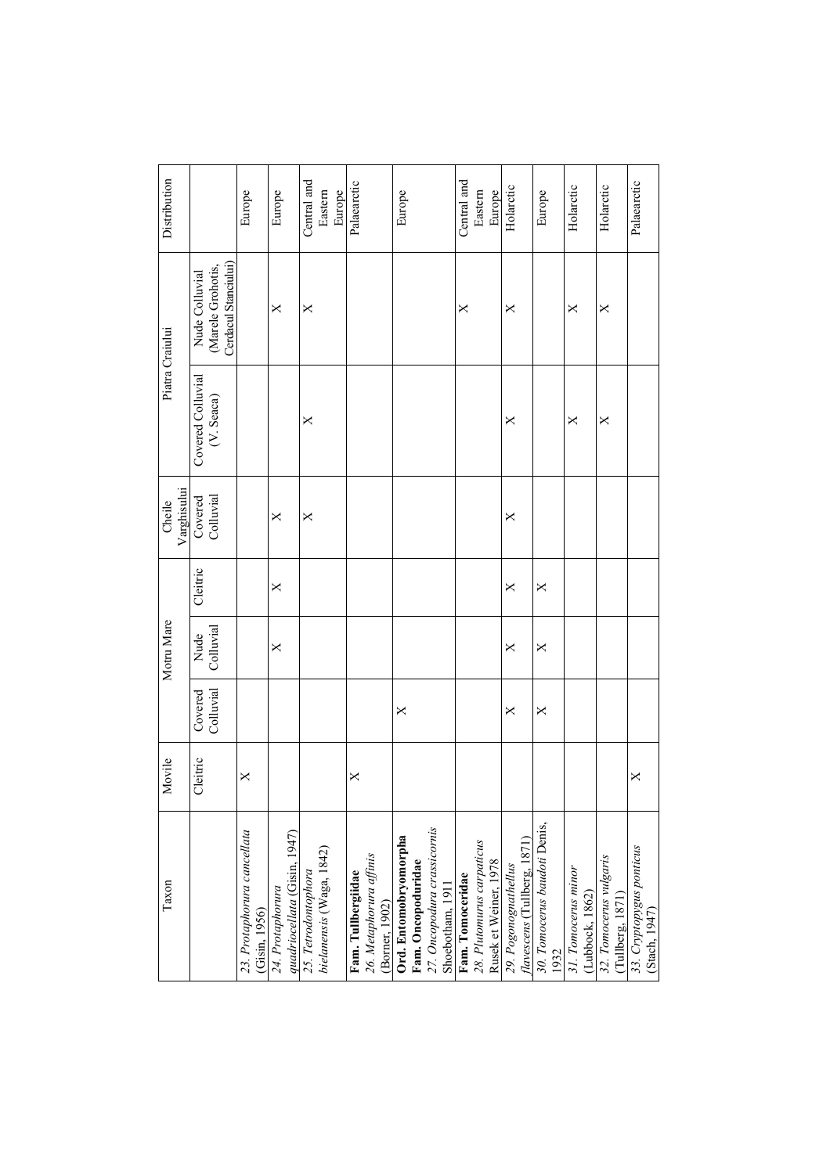| <b>lovile</b><br>Σ |                      | Motru Mare        |          | Varghisului<br>Cheile |                                 | Piatra Craiului                                             | Distribution                     |
|--------------------|----------------------|-------------------|----------|-----------------------|---------------------------------|-------------------------------------------------------------|----------------------------------|
| leitric<br>U       | Colluvial<br>Covered | Colluvial<br>Nude | Cleitric | Colluvial<br>Covered  | Covered Colluvial<br>(V. Seaca) | Cerdacul Stanciului)<br>(Marele Grohotis,<br>Nude Colluvial |                                  |
| X                  |                      |                   |          |                       |                                 |                                                             | Europe                           |
|                    |                      | ×                 | ×        | ×                     |                                 | X                                                           | Europe                           |
|                    |                      |                   |          | $\times$              | ×                               | X                                                           | Central and<br>Eastern<br>Europe |
| X                  |                      |                   |          |                       |                                 |                                                             | Palaearctic                      |
|                    | X                    |                   |          |                       |                                 |                                                             | Europe                           |
|                    |                      |                   |          |                       |                                 | ×                                                           | Central and<br>Eastern<br>Europe |
|                    | X                    | X                 | X        | ×                     | X                               | X                                                           | Holarctic                        |
|                    | X                    | ×                 | X        |                       |                                 |                                                             | Europe                           |
|                    |                      |                   |          |                       | $\times$                        | ×                                                           | Holarctic                        |
|                    |                      |                   |          |                       | X                               | X                                                           | Holarctic                        |
| $\times$           |                      |                   |          |                       |                                 |                                                             | Palaearctic                      |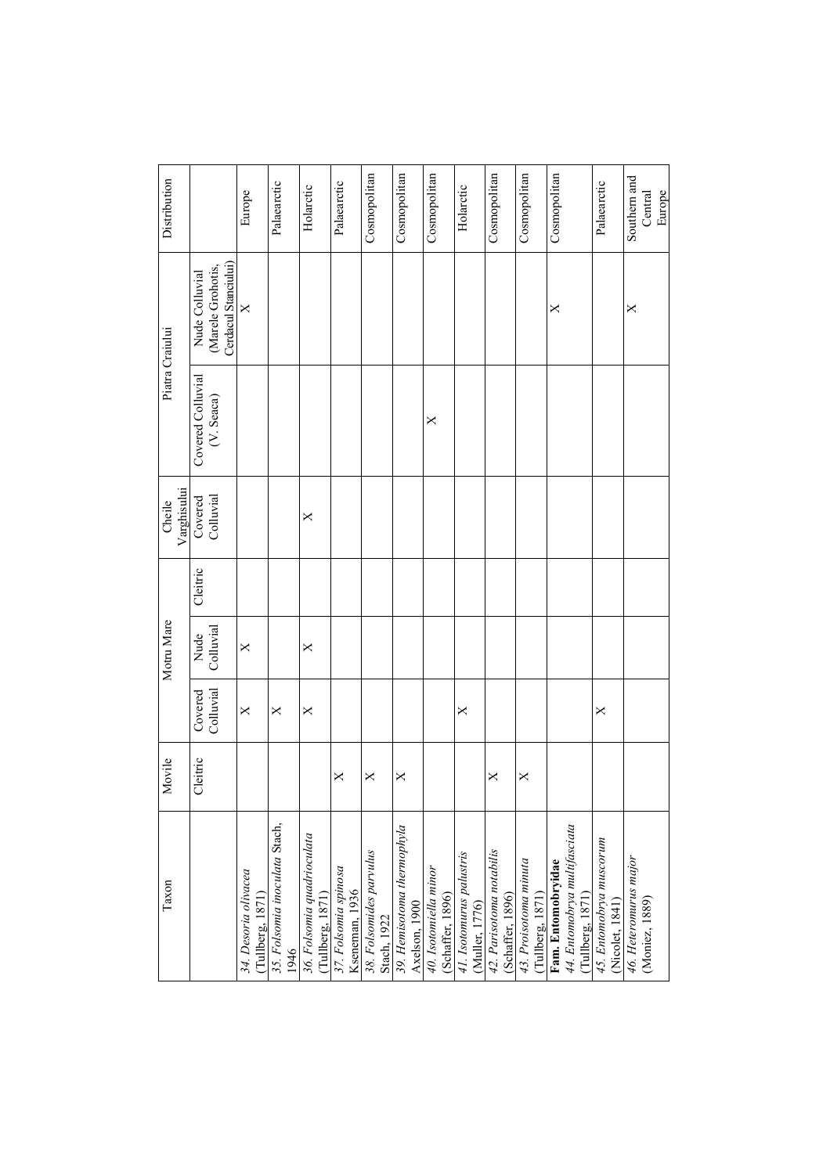| Distribution          |                                                             | Europe                                   | Palaearctic                           | Holarctic                                      | Palaearctic                            | Cosmopolitan                           | Cosmopolitan                                | Cosmopolitan                              | Holarctic                                  | Cosmopolitan                                 | Cosmopolitan                              | Cosmopolitan                                                           | Palaearctic                                | Southern and<br>Europe<br>Central       |
|-----------------------|-------------------------------------------------------------|------------------------------------------|---------------------------------------|------------------------------------------------|----------------------------------------|----------------------------------------|---------------------------------------------|-------------------------------------------|--------------------------------------------|----------------------------------------------|-------------------------------------------|------------------------------------------------------------------------|--------------------------------------------|-----------------------------------------|
|                       | Cerdacul Stanciului)<br>(Marele Grohotis,<br>Nude Colluvial | $\times$                                 |                                       |                                                |                                        |                                        |                                             |                                           |                                            |                                              |                                           | ×                                                                      |                                            | ×                                       |
| Piatra Craiului       | Covered Colluvial<br>(V. Seaca)                             |                                          |                                       |                                                |                                        |                                        |                                             | ×                                         |                                            |                                              |                                           |                                                                        |                                            |                                         |
| Varghisului<br>Cheile | Colluvial<br>Covered                                        |                                          |                                       | ×                                              |                                        |                                        |                                             |                                           |                                            |                                              |                                           |                                                                        |                                            |                                         |
|                       | Cleitric                                                    |                                          |                                       |                                                |                                        |                                        |                                             |                                           |                                            |                                              |                                           |                                                                        |                                            |                                         |
| Motru Mare            | Colluvial<br>Nude                                           | $\times$                                 |                                       | $\times$                                       |                                        |                                        |                                             |                                           |                                            |                                              |                                           |                                                                        |                                            |                                         |
|                       | Colluvial<br>Covered                                        | $\times$                                 | $\times$                              | X                                              |                                        |                                        |                                             |                                           | X                                          |                                              |                                           |                                                                        | X                                          |                                         |
| Movile                | Cleitric                                                    |                                          |                                       |                                                | ×                                      | $\times$                               | X                                           |                                           |                                            | $\times$                                     | $\times$                                  |                                                                        |                                            |                                         |
| Taxon                 |                                                             | 34. Desoria olivacea<br>(Tullberg, 1871) | 35. Folsomia inoculata Stach,<br>1946 | 36. Folsomia quadrioculata<br>(Tullberg, 1871) | 37. Folsomia spinosa<br>Kseneman, 1936 | 38. Folsomides parvulus<br>Stach, 1922 | 39. Hemisotoma thermophyla<br>Axelson, 1900 | 40. Isotomiella minor<br>(Schaffer, 1896) | 41. Isotomurus palustris<br>(Muller, 1776) | 42. Parisotoma notabilis<br>(Schaffer, 1896) | 43. Proisotoma minuta<br>(Tullberg, 1871) | 44. Entomobrya multifasciata<br>(Tullberg, 1871)<br>Fam. Entomobryidae | 45. Entomobrya muscorum<br>(Nicolet, 1841) | 46. Heteromurus major<br>(Moniez, 1889) |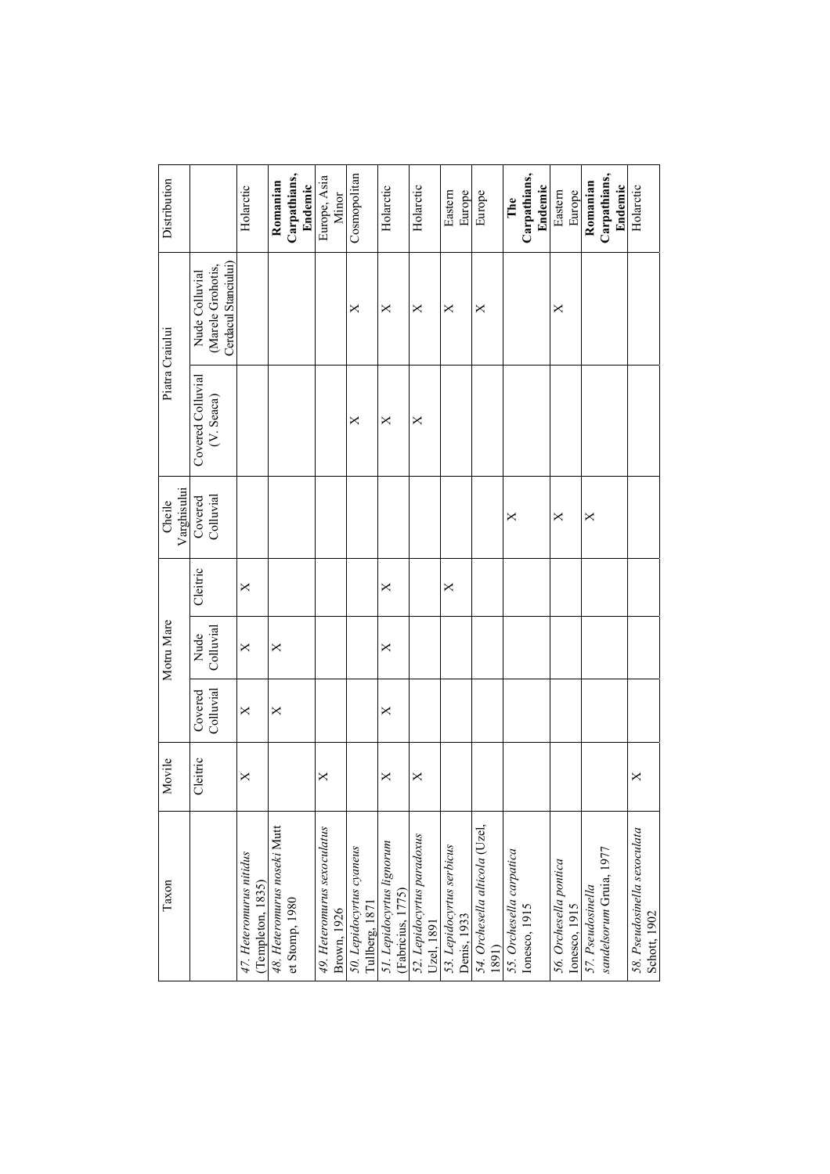| Distribution          |                                                             | Holarctic                                    | Carpathians,<br>Romanian<br>Endemic           | Europe, Asia<br>Minor                      | Cosmopolitan                               | Holarctic                                      | Holarctic                                | Eastern<br>Europe                        | Europe                                  | Carpathians,<br>Endemic<br>The            | Eastern<br>Europe                       | Carpathians,<br>Romanian<br>Endemic          | Holarctic                                    |
|-----------------------|-------------------------------------------------------------|----------------------------------------------|-----------------------------------------------|--------------------------------------------|--------------------------------------------|------------------------------------------------|------------------------------------------|------------------------------------------|-----------------------------------------|-------------------------------------------|-----------------------------------------|----------------------------------------------|----------------------------------------------|
|                       | Cerdacul Stanciului)<br>(Marele Grohotis,<br>Nude Colluvial |                                              |                                               |                                            | ×                                          | X                                              | ×                                        | X                                        | ×                                       |                                           | X                                       |                                              |                                              |
| Piatra Craiului       | Covered Colluvial<br>(V. Seaca)                             |                                              |                                               |                                            | X                                          | $\times$                                       | $\times$                                 |                                          |                                         |                                           |                                         |                                              |                                              |
| Varghisului<br>Cheile | Colluvial<br>Covered                                        |                                              |                                               |                                            |                                            |                                                |                                          |                                          |                                         | ×                                         | X                                       | X                                            |                                              |
|                       | Cleitric                                                    | $\times$                                     |                                               |                                            |                                            | ×                                              |                                          | ×                                        |                                         |                                           |                                         |                                              |                                              |
| Motru Mare            | Colluvial<br>Nude                                           | $\times$                                     | X                                             |                                            |                                            | ×                                              |                                          |                                          |                                         |                                           |                                         |                                              |                                              |
|                       | Colluvial<br>Covered                                        | $\times$                                     | X                                             |                                            |                                            | X                                              |                                          |                                          |                                         |                                           |                                         |                                              |                                              |
| Movile                | Cleitric                                                    | X                                            |                                               | X                                          |                                            | ×                                              | X                                        |                                          |                                         |                                           |                                         |                                              | X                                            |
| Taxon                 |                                                             | 47. Heteromurus nitidus<br>(Templeton, 1835) | 48. Heteromurus noseki Mutt<br>et Stomp, 1980 | 49. Heteromurus sexoculatus<br>Brown, 1926 | 50. Lepidocyrtus cyaneus<br>Tullberg, 1871 | 51. Lepidocyrtus lignorum<br>(Fabricius, 1775) | 52. Lepidocyrtus paradoxus<br>Uzel, 1891 | 53. Lepidocyrtus serbicus<br>Denis, 1933 | 54. Orchesella alticola (Uzel,<br>(1681 | 55. Orchesella carpatica<br>Ionesco, 1915 | 56. Orchesella pontica<br>Ionesco, 1915 | sandelsorum Gruia, 1977<br>57. Pseudosinella | 58. Pseudosinella sexoculata<br>Schott, 1902 |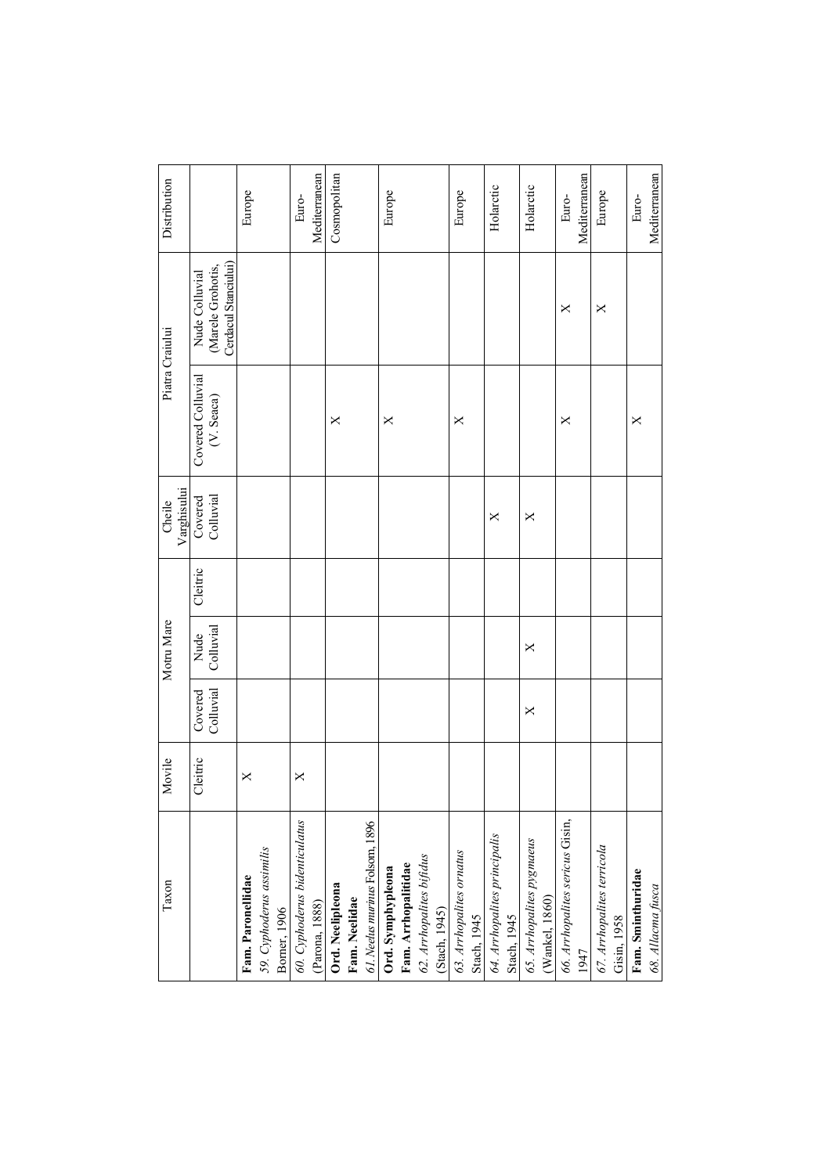| Taxon                                       | Movile   |                      | Motru Mare        |          | Varghisului<br>Cheile | Piatra Craiului                 |                                                             | Distribution  |
|---------------------------------------------|----------|----------------------|-------------------|----------|-----------------------|---------------------------------|-------------------------------------------------------------|---------------|
|                                             | Cleitric | Colluvial<br>Covered | Colluvial<br>Nude | Cleitric | Colluvial<br>Covered  | Covered Colluvial<br>(V. Seaca) | Cerdacul Stanciului)<br>(Marele Grohotis,<br>Nude Colluvial |               |
| Fam. Paronellidae                           | X        |                      |                   |          |                       |                                 |                                                             | Europe        |
| 59. Cyphoderus assimilis<br>Borner, 1906    |          |                      |                   |          |                       |                                 |                                                             |               |
| 60. Cyphoderus bidenticulatus               | X        |                      |                   |          |                       |                                 |                                                             | Euro-         |
| (Parona, 1888)                              |          |                      |                   |          |                       |                                 |                                                             | Mediterranean |
| Ord. Neelipleona                            |          |                      |                   |          |                       | ×                               |                                                             | Cosmopolitan  |
| Fam. Neelidae                               |          |                      |                   |          |                       |                                 |                                                             |               |
| 61. Neelus murinus Folsom, 1896             |          |                      |                   |          |                       |                                 |                                                             |               |
|                                             |          |                      |                   |          |                       | $\times$                        |                                                             | Europe        |
| Ord. Symphypleona<br>Fam. Arrhopalitidae    |          |                      |                   |          |                       |                                 |                                                             |               |
|                                             |          |                      |                   |          |                       |                                 |                                                             |               |
| 62. Arrhopalites bifidus<br>(Stach, 1945)   |          |                      |                   |          |                       |                                 |                                                             |               |
| 63. Arrhopalites ornatus                    |          |                      |                   |          |                       | ×                               |                                                             | Europe        |
| Stach, 1945                                 |          |                      |                   |          |                       |                                 |                                                             |               |
| 64. Arrhopalites principalis<br>Stach, 1945 |          |                      |                   |          | ×                     |                                 |                                                             | Holarctic     |
|                                             |          |                      |                   |          |                       |                                 |                                                             |               |
| 65. Arrhopalites pygmaeus<br>(Wankel, 1860) |          | $\times$             | $\times$          |          | $\times$              |                                 |                                                             | Holarctic     |
|                                             |          |                      |                   |          |                       |                                 |                                                             |               |
| 66. Arrhopalites sericus Gisin,             |          |                      |                   |          |                       | X                               | ×                                                           | Euro-         |
| 1947                                        |          |                      |                   |          |                       |                                 |                                                             | Mediterranean |
| 67. Arrhopalites terricola                  |          |                      |                   |          |                       |                                 | X                                                           | Europe        |
| Gisin, 1958                                 |          |                      |                   |          |                       |                                 |                                                             |               |
| Fam. Sminthuridae                           |          |                      |                   |          |                       | ×                               |                                                             | Euro-         |
| 68. Allacma fusca                           |          |                      |                   |          |                       |                                 |                                                             | Mediterranean |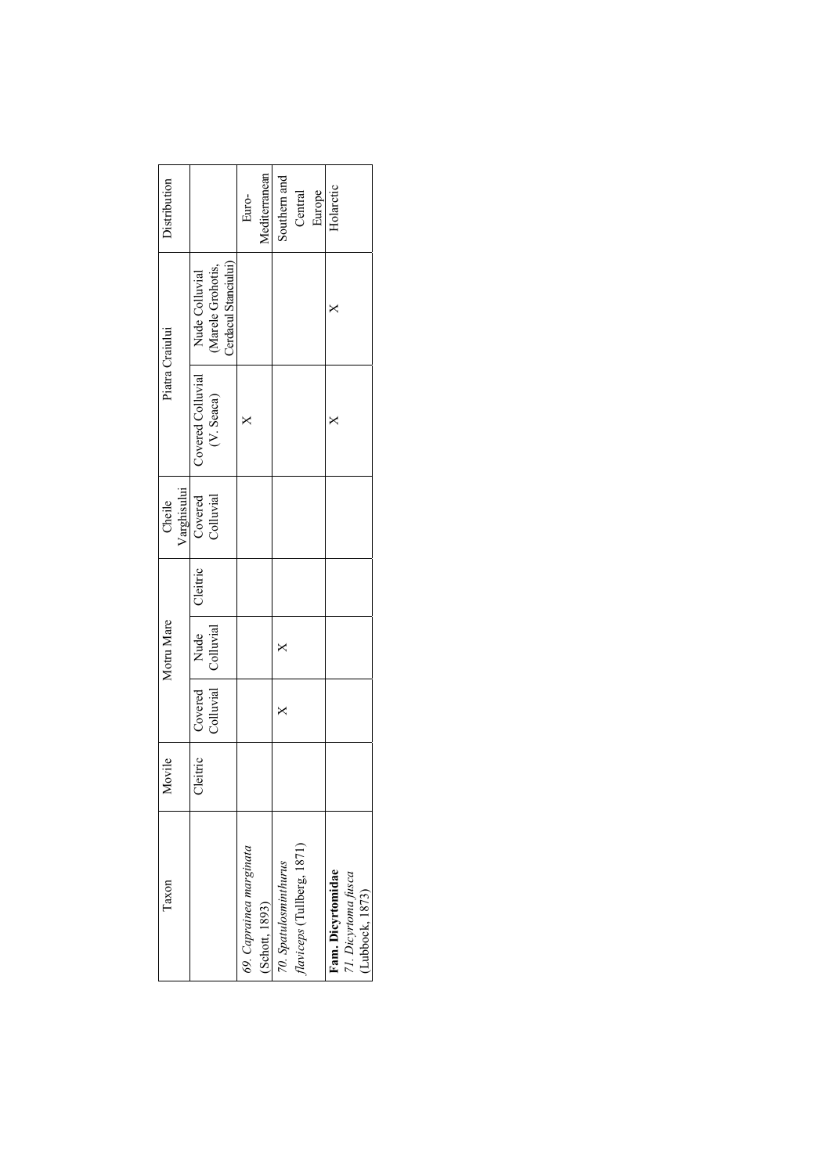| Taxon                                  | ovile    |                | Motru Mare          |          | Cheile      |                   | Piatra Craiului      | Distribution  |
|----------------------------------------|----------|----------------|---------------------|----------|-------------|-------------------|----------------------|---------------|
|                                        |          |                |                     |          | Varghisului |                   |                      |               |
|                                        | Cleitric | Covered   Nude |                     | Cleitric | Covered     | Covered Colluvial | Nude Colluvial       |               |
|                                        |          |                | Colluvial Colluvial |          | Colluvial   | (V. Seaca)        | (Marele Grohotis,    |               |
|                                        |          |                |                     |          |             |                   | Cerdacul Stanciului) |               |
| 69. Caprainea marginata                |          |                |                     |          |             |                   |                      | Euro-         |
| (Schott, 1893)                         |          |                |                     |          |             |                   |                      | Mediterranean |
| 70. Spatulosminthurus                  |          |                |                     |          |             |                   |                      | Southern and  |
| flaviceps (Tullberg, 1871)             |          |                |                     |          |             |                   |                      | Central       |
|                                        |          |                |                     |          |             |                   |                      | Europe        |
| Fam. Dicyrtomidae                      |          |                |                     |          |             |                   |                      | Holarctic     |
| 71. Dicyrtoma fusca<br>(Lubbock, 1873) |          |                |                     |          |             |                   |                      |               |
|                                        |          |                |                     |          |             |                   |                      |               |
|                                        |          |                |                     |          |             |                   |                      |               |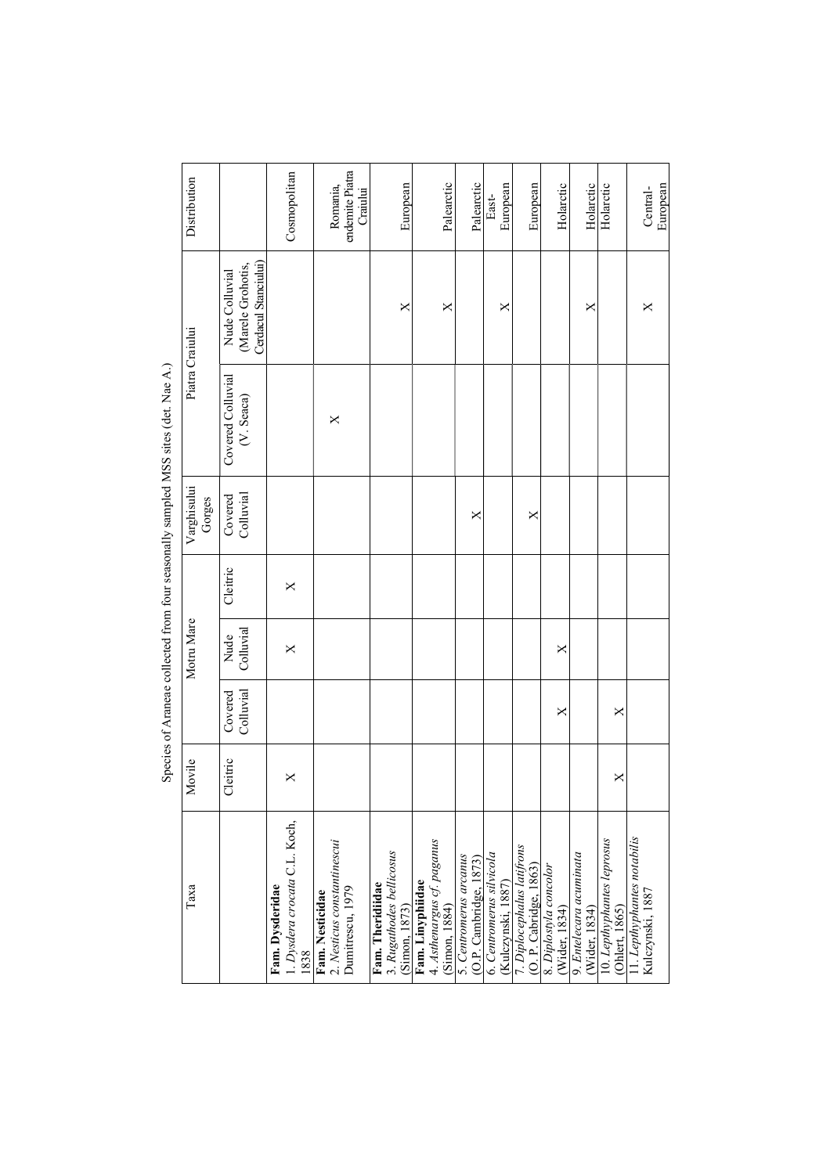| Distribution          |                                                             | Cosmopolitan                                             | endemite Piatra<br>Romania,<br>Craiului                            | European                                                      | Palearctic                                                      | Palearctic                                          | European<br>East-                              | European                                             | Holarctic                               | Holarctic                                | Holarctic                                    | European<br>Central-                            |
|-----------------------|-------------------------------------------------------------|----------------------------------------------------------|--------------------------------------------------------------------|---------------------------------------------------------------|-----------------------------------------------------------------|-----------------------------------------------------|------------------------------------------------|------------------------------------------------------|-----------------------------------------|------------------------------------------|----------------------------------------------|-------------------------------------------------|
|                       | Cerdacul Stanciului)<br>(Marele Grohotis,<br>Nude Colluvial |                                                          |                                                                    | ×                                                             | ×                                                               |                                                     | ×                                              |                                                      |                                         | ×                                        |                                              | ×                                               |
| Piatra Craiului       | Covered Colluvial<br>(V. Seaca)                             |                                                          | $\times$                                                           |                                                               |                                                                 |                                                     |                                                |                                                      |                                         |                                          |                                              |                                                 |
| Varghisului<br>Gorges | Colluvial<br>Covered                                        |                                                          |                                                                    |                                                               |                                                                 | ×                                                   |                                                | ×                                                    |                                         |                                          |                                              |                                                 |
|                       | Cleitric                                                    | X                                                        |                                                                    |                                                               |                                                                 |                                                     |                                                |                                                      |                                         |                                          |                                              |                                                 |
| Motru Mare            | Colluvial<br>Nude                                           | ×                                                        |                                                                    |                                                               |                                                                 |                                                     |                                                |                                                      | ×                                       |                                          |                                              |                                                 |
|                       | Colluvial<br>Covered                                        |                                                          |                                                                    |                                                               |                                                                 |                                                     |                                                |                                                      | ×                                       |                                          | ×                                            |                                                 |
| Movile                | Cleitric                                                    | ×                                                        |                                                                    |                                                               |                                                                 |                                                     |                                                |                                                      |                                         |                                          | $\times$                                     |                                                 |
| Таха                  |                                                             | 1. Dysdera crocata C.L. Koch,<br>Fam. Dysderidae<br>1838 | Fam. Nesticidae<br>2. Nesticus constantinescui<br>Dumitrescu, 1979 | 3. Rugathodes bellicosus<br>Fam. Theridiidae<br>(Simon, 1873) | 4. Asthenargus cf. paganus<br>(Simon, 1884)<br>Fam. Linyphiidae | 5. Centromerus arcanus<br>$(O.P.$ Cambridge, $1873$ | 6. Centromerus silvicola<br>(Kulczynski, 1887) | 7. Diplocephalus latifrons<br>(O. P. Cabridge, 1863) | 8. Diplostyla concolor<br>(Wider, 1834) | 9. Entelecara acuminata<br>(Wider, 1834) | 10. Lepthyphantes leprosus<br>(Ohlert, 1865) | 11. Lepthyphantes notabilis<br>Kulczynski, 1887 |

Species of Araneae collected from four seasonally sampled MSS sites (det. Nae A.) Species of Araneae collected from four seasonally sampled MSS sites (det. Nae A.)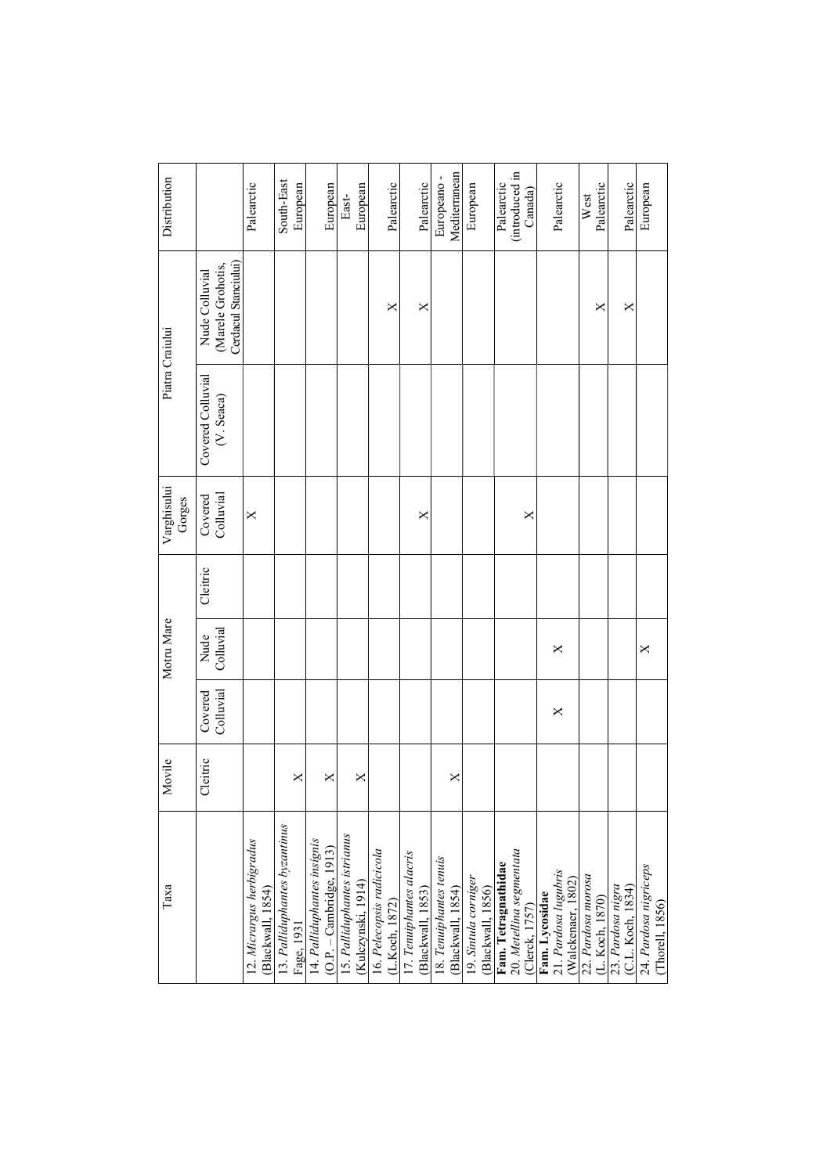| Таха                                                              | Movile   |                      | Motru Mare        |          | Varghisului<br>Gorges | Piatra Craiului                 |                                                             | Distribution                            |
|-------------------------------------------------------------------|----------|----------------------|-------------------|----------|-----------------------|---------------------------------|-------------------------------------------------------------|-----------------------------------------|
|                                                                   | Cleitric | Colluvial<br>Covered | Colluvial<br>Nude | Cleitric | Colluvial<br>Covered  | Covered Colluvial<br>(V. Seaca) | Cerdacul Stanciului)<br>(Marele Grohotis,<br>Nude Colluvial |                                         |
| 12. Micrargus herbigradus<br>(Blackwall, 1854)                    |          |                      |                   |          | ×                     |                                 |                                                             | Palearctic                              |
| 13. Palliduphantes byzantinus<br>Fage, 1931                       | ×        |                      |                   |          |                       |                                 |                                                             | South-East<br>European                  |
| 14. Palliduphantes insignis<br>$(O.P. - Cambridge, 1913)$         | ×        |                      |                   |          |                       |                                 |                                                             | European                                |
| 15. Palliduphantes istrianus<br>(Kulczynski, 1914)                | $\times$ |                      |                   |          |                       |                                 |                                                             | European<br>East-                       |
| 16. Pelecopsis radicicola<br>(L.Koch, 1872)                       |          |                      |                   |          |                       |                                 | ×                                                           | Palearctic                              |
| 17. Tenuiphantes alacris<br>(Blackwall, 1853)                     |          |                      |                   |          | ×                     |                                 | ×                                                           | Palearctic                              |
| 18. Tenuiphantes tenuis<br>(Blackwall, 1854)                      | X        |                      |                   |          |                       |                                 |                                                             | Mediterranean<br>Europeano-             |
| 19. Sintula corniger<br>(Blackwall, 1856)                         |          |                      |                   |          |                       |                                 |                                                             | European                                |
| 20. Metellina segmentata<br>Fam. Tetragnathidae<br>(Clerck, 1757) |          |                      |                   |          | ×                     |                                 |                                                             | (introduced in<br>Palearctic<br>Canada) |
| 21. Pardosa lugubris<br>(Walckenaer, 1802)<br>Fam. Lycosidae      |          | X                    | X                 |          |                       |                                 |                                                             | Palearctic                              |
| 22. Pardosa morosa<br>(L. Koch, 1870)<br>23. Pardosa nigra        |          |                      |                   |          |                       |                                 | ×                                                           | Palearctic<br>West                      |
| (C.L. Koch, 1834)                                                 |          |                      |                   |          |                       |                                 | ×                                                           | Palearctic                              |
| 24. Pardosa nigriceps<br>(Thorell, 1856)                          |          |                      | ×                 |          |                       |                                 |                                                             | European                                |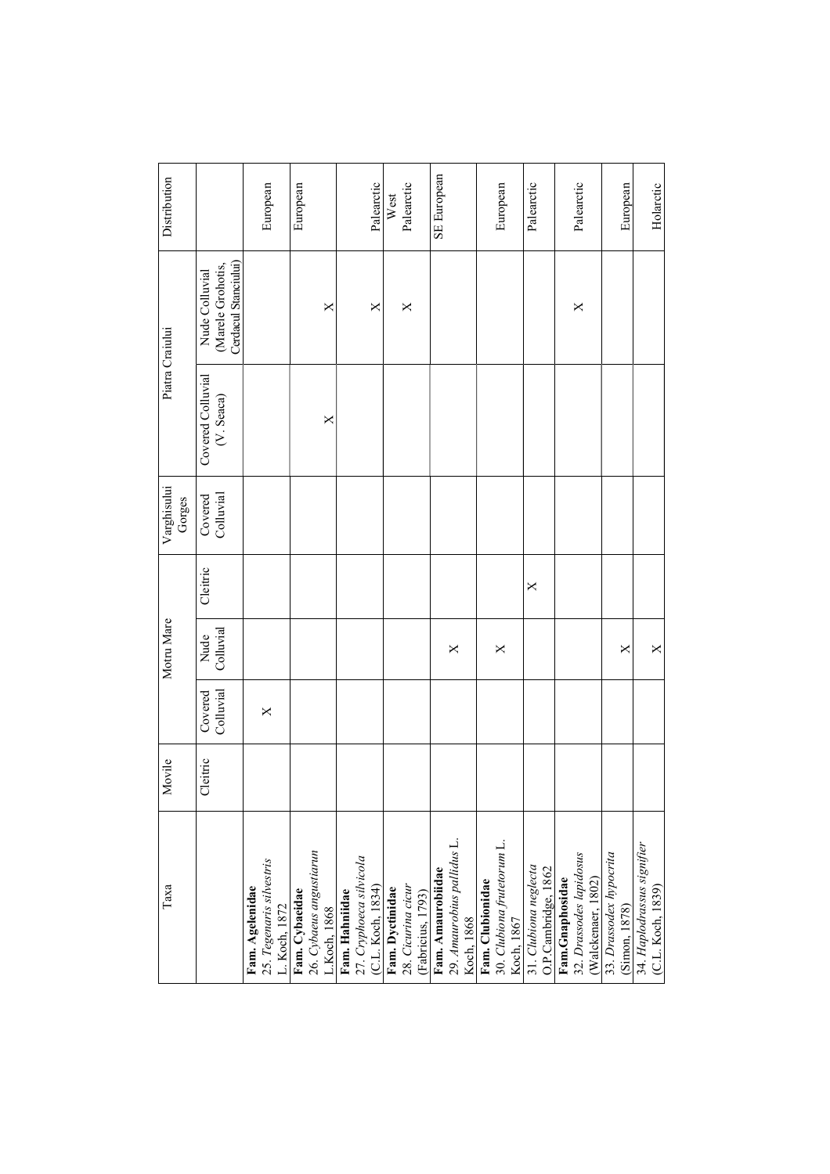| Таха                                                                                                                         | Movile   |                      | Motru Mare        |          | Varghisului<br>Gorges | Piatra Craiului                 |                                                             | Distribution       |
|------------------------------------------------------------------------------------------------------------------------------|----------|----------------------|-------------------|----------|-----------------------|---------------------------------|-------------------------------------------------------------|--------------------|
|                                                                                                                              | Cleitric | Colluvial<br>Covered | Colluvial<br>Nude | Cleitric | Colluvial<br>Covered  | Covered Colluvial<br>(V. Seaca) | Cerdacul Stanciului)<br>(Marele Grohotis,<br>Nude Colluvial |                    |
| 25. Tegenaris silvestris<br>L. Koch, 1872<br>Fam. Agelenidae                                                                 |          | X                    |                   |          |                       |                                 |                                                             | European           |
| Fam. Cybaeidae                                                                                                               |          |                      |                   |          |                       | $\times$                        | X                                                           | European           |
| 26. Cybaeus angustiarun<br>L.Koch, 1868<br>Fam. Hahniidae<br>27. Cryphoeca silvicola<br>(C.L. Koch, 1834)<br>Fam. Dyctinidae |          |                      |                   |          |                       |                                 | ×                                                           | Palearctic         |
| 28. Cicurina cicur<br>(Fabricius, 1793)                                                                                      |          |                      |                   |          |                       |                                 | $\times$                                                    | Palearctic<br>West |
| Fam. Amaurobiidae<br>29. Amaurobius pallidus L.<br>Koch, 1868                                                                |          |                      | X                 |          |                       |                                 |                                                             | SE European        |
| Fam. Clubionidae<br>30. <i>Clubiona frutetorum</i> L.<br>Koch, 1867                                                          |          |                      | $\times$          |          |                       |                                 |                                                             | European           |
| 31. Clubiona neglecta                                                                                                        |          |                      |                   | $\times$ |                       |                                 |                                                             | Palearctic         |
| 32. Drassodes lapidosus<br>O.P.Cambridge, 1862<br>Fam.Gnaphosidae<br>(Walckenaer, 1802)                                      |          |                      |                   |          |                       |                                 | ×                                                           | Palearctic         |
| 33. Drassodex hypocrita<br>(Simon, 1878)                                                                                     |          |                      | ×                 |          |                       |                                 |                                                             | European           |
| 34. Haplodrassus signifier<br>(C.L. Koch, 1839)                                                                              |          |                      | $\times$          |          |                       |                                 |                                                             | Holarctic          |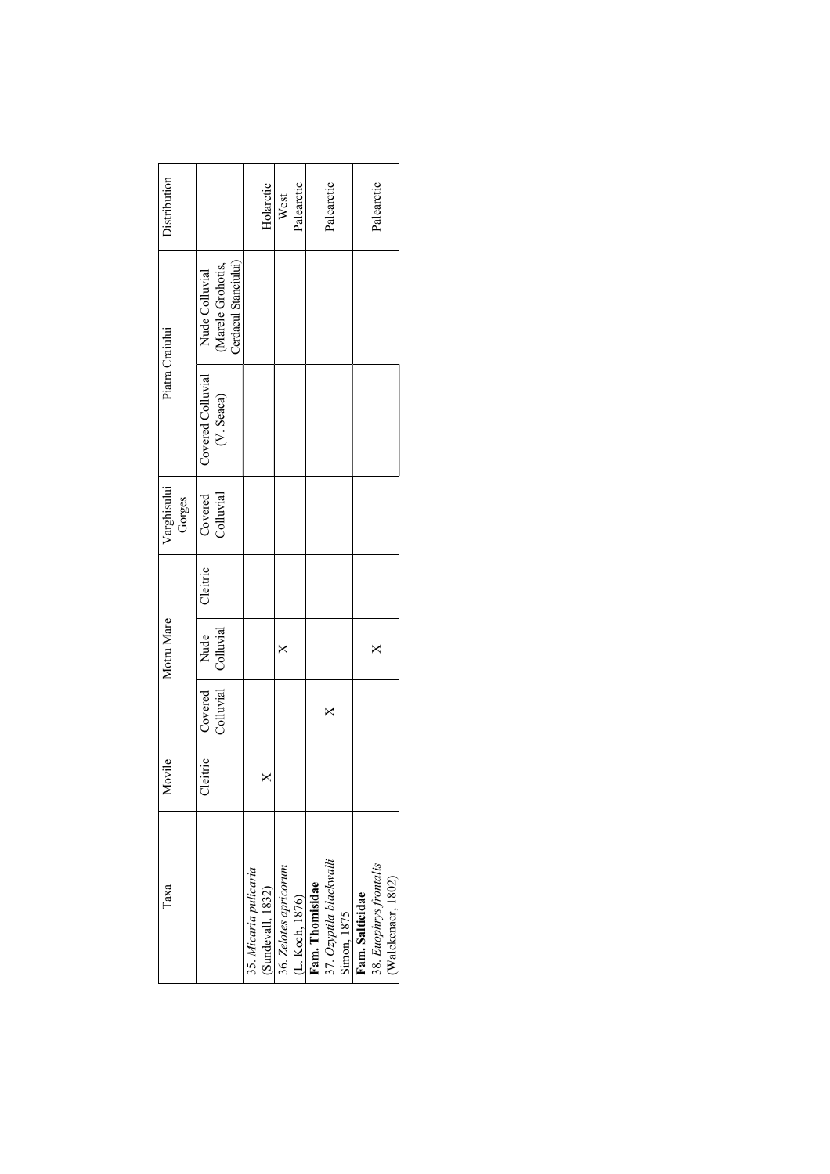| l'axa                   | Movile   |           | Motru Mare |          | Varghisului |                   | Piatra Craiului      | Distribution |
|-------------------------|----------|-----------|------------|----------|-------------|-------------------|----------------------|--------------|
|                         |          |           |            |          | Gorges      |                   |                      |              |
|                         | Cleitric | Covered   | Nude       | Cleitric | Covered     | Covered Colluvial | Nude Colluvial       |              |
|                         |          | Colluvial | Colluvial  |          | Colluvial   | (V. Seaca)        | (Marele Grohotis,    |              |
|                         |          |           |            |          |             |                   | Cerdacul Stanciului) |              |
| 35. Micaria pulicaria   |          |           |            |          |             |                   |                      |              |
| (Sundevall, 1832)       | ×        |           |            |          |             |                   |                      | Holarctic    |
| 36. Zelotes apricorum   |          |           |            |          |             |                   |                      | West         |
| (L. Koch, 1876)         |          |           |            |          |             |                   |                      | Palearctic   |
| Fam. Thomisidae         |          |           |            |          |             |                   |                      |              |
| 37. Ozyptila blackwalli |          | ×         |            |          |             |                   |                      | Palearctic   |
| Simon, 1875             |          |           |            |          |             |                   |                      |              |
| Fam. Salticidae         |          |           |            |          |             |                   |                      |              |
| 38. Euophrys frontalis  |          |           |            |          |             |                   |                      | Palearctic   |
| (Walckenaer, 1802)      |          |           |            |          |             |                   |                      |              |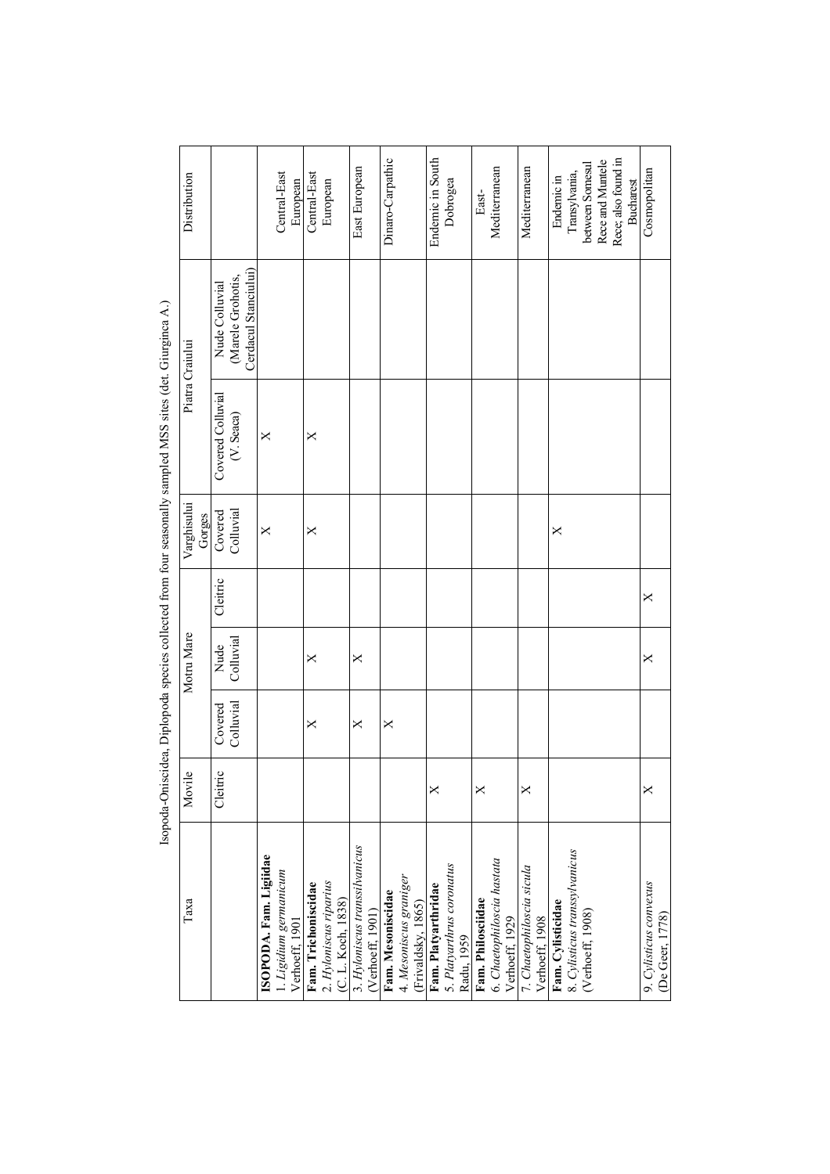|                                                                                                                                                                                                                                | Distribution          |                                                             |                        | Central-East           | European       | Central-East        | European                                     | East European                                     | Dinaro-Carpathic  |                                              | Endemic in South    | Dobrogea                                | East-             | Mediterranean                                | Mediterranean                               | Endemic in        | Transylvania,                 | between Somesul  | Rece and Muntele | Rece; also found in<br><b>Bucharest</b> |                        | Cosmopolitan    |
|--------------------------------------------------------------------------------------------------------------------------------------------------------------------------------------------------------------------------------|-----------------------|-------------------------------------------------------------|------------------------|------------------------|----------------|---------------------|----------------------------------------------|---------------------------------------------------|-------------------|----------------------------------------------|---------------------|-----------------------------------------|-------------------|----------------------------------------------|---------------------------------------------|-------------------|-------------------------------|------------------|------------------|-----------------------------------------|------------------------|-----------------|
|                                                                                                                                                                                                                                | Piatra Craiului       | Cerdacul Stanciului)<br>(Marele Grohotis,<br>Nude Colluvial |                        |                        |                |                     |                                              |                                                   |                   |                                              |                     |                                         |                   |                                              |                                             |                   |                               |                  |                  |                                         |                        |                 |
| C. The more commutation of the contract of the contract of the contract of the contracted of the contracted of the contracted of the contracted of the contracted of the contracted of the contracted of the contracted of the |                       | Covered Colluvial<br>(V. Seaca)                             | $\times$               |                        |                | ×                   |                                              |                                                   |                   |                                              |                     |                                         |                   |                                              |                                             |                   |                               |                  |                  |                                         |                        |                 |
|                                                                                                                                                                                                                                | Varghisului<br>Gorges | Colluvial<br>Covered                                        | $\times$               |                        |                | ×                   |                                              |                                                   |                   |                                              |                     |                                         |                   |                                              |                                             | X                 |                               |                  |                  |                                         |                        |                 |
|                                                                                                                                                                                                                                |                       | Cleitric                                                    |                        |                        |                |                     |                                              |                                                   |                   |                                              |                     |                                         |                   |                                              |                                             |                   |                               |                  |                  |                                         | $\times$               |                 |
|                                                                                                                                                                                                                                | Motru Mare            | Colluvial<br>Nude                                           |                        |                        |                | ×                   |                                              | $\times$                                          |                   |                                              |                     |                                         |                   |                                              |                                             |                   |                               |                  |                  |                                         | $\times$               |                 |
|                                                                                                                                                                                                                                |                       | Colluvial<br>Covered                                        |                        |                        |                | ×                   |                                              | X                                                 | X                 |                                              |                     |                                         |                   |                                              |                                             |                   |                               |                  |                  |                                         |                        |                 |
|                                                                                                                                                                                                                                | Movile                | Cleitric                                                    |                        |                        |                |                     |                                              |                                                   |                   |                                              | ×                   |                                         | ×                 |                                              | ×                                           |                   |                               |                  |                  |                                         | ×                      |                 |
|                                                                                                                                                                                                                                | Таха                  |                                                             | ISOPODA. Fam. Ligiidae | 1. Ligidium germanicum | Verhoeff, 1901 | Fam. Trichoniscidae | 2. Hyloniscus riparius<br>(C. L. Koch, 1838) | 3. Hyloniscus transsilvanicus<br>(Verhoeff, 1901) | Fam. Mesoniscidae | 4. Mesoniscus graniger<br>(Frivaldsky, 1865) | Fam. Platyarthridae | 5. Platyarthrus coronatus<br>Radu, 1959 | Fam. Philosciidae | 6. Chaetophiloscia hastata<br>Verhoeff, 1929 | 7. Chaetophiloscia sicula<br>Verhoeff, 1908 | Fam. Cylisticidae | 8. Cylisticus transsylvanicus | (Verhoeff, 1908) |                  |                                         | 9. Cylisticus convexus | (De Geer, 1778) |

Isopoda-Oniscidea, Diplopoda species collected from four seasonally sampled MSS sites (det. Giurginca A.) Isopoda-Oniscidea, Diplopoda species collected from four seasonally sampled MSS sites (det. Giurginca A.)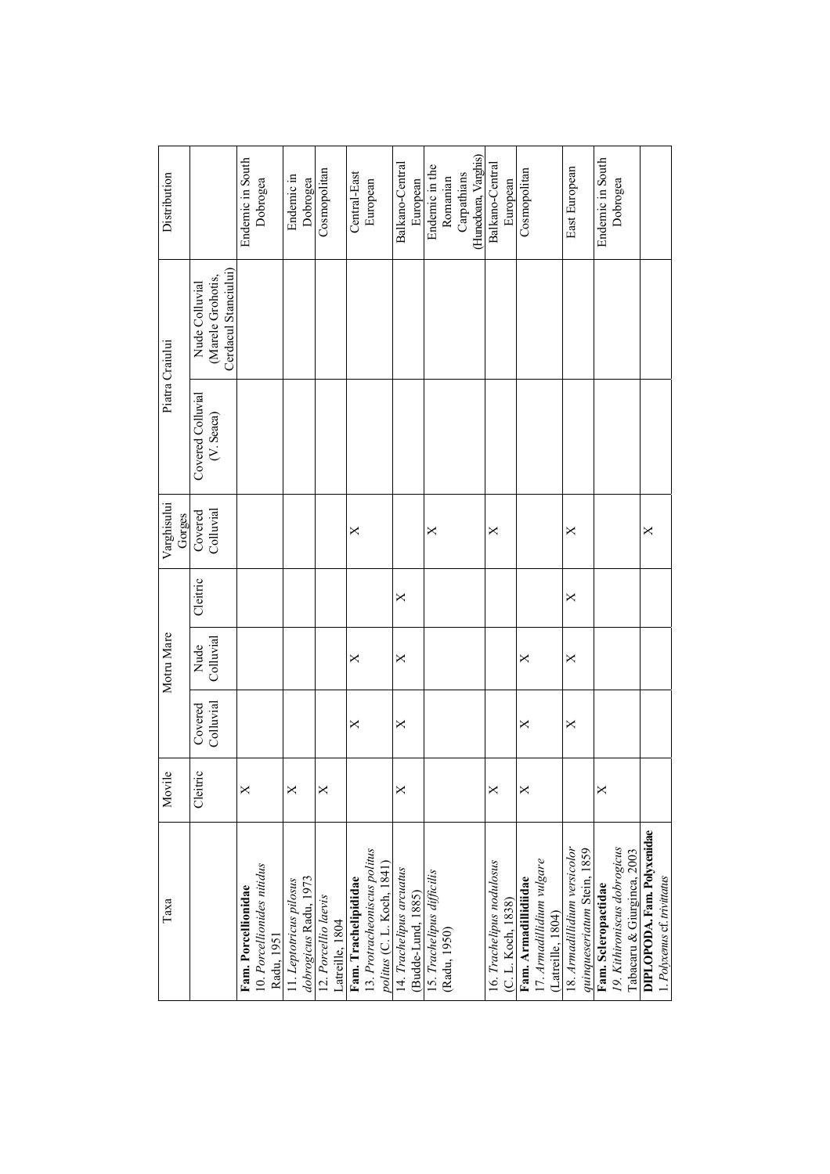| Таха                                                       | Movile   |                                          | Motru Mare        |          | Varghisului<br>Gorges |                                 | Piatra Craiului                                             | Distribution         |
|------------------------------------------------------------|----------|------------------------------------------|-------------------|----------|-----------------------|---------------------------------|-------------------------------------------------------------|----------------------|
|                                                            | Cleitric | Colluvial<br>$\mathop{\mathrm{covered}}$ | Nude<br>Colluvial | Cleitric | Colluvial<br>Covered  | Covered Colluvial<br>(V. Seaca) | Cerdacul Stanciului)<br>(Marele Grohotis,<br>Nude Colluvial |                      |
| Fam. Porcellionidae                                        | ×        |                                          |                   |          |                       |                                 |                                                             | Endemic in South     |
| 10. Porcellionides nitidus<br>Radu, 1951                   |          |                                          |                   |          |                       |                                 |                                                             | Dobrogea             |
| 11. Leptotricus pilosus                                    | ×        |                                          |                   |          |                       |                                 |                                                             | Endemic in           |
| dobrogicus Radu, 1973                                      |          |                                          |                   |          |                       |                                 |                                                             | Dobrogea             |
| 12. Porcellio laevis                                       | ×        |                                          |                   |          |                       |                                 |                                                             | Cosmopolitan         |
| Latreille, 1804                                            |          |                                          |                   |          |                       |                                 |                                                             |                      |
| Fam. Trachelipididae                                       |          | ×                                        | ×                 |          | ×                     |                                 |                                                             | Central-East         |
| 13. Protracheoniscus politus<br>politus (C. L. Koch, 1841) |          |                                          |                   |          |                       |                                 |                                                             | European             |
| 14. Trachelipus arcuatus                                   | ×        | X                                        | X                 | X        |                       |                                 |                                                             | Balkano-Central      |
| (Budde-Lund, 1885)                                         |          |                                          |                   |          |                       |                                 |                                                             | European             |
| 15. Trachelipus difficilis                                 |          |                                          |                   |          | $\times$              |                                 |                                                             | Endemic in the       |
| (Radu, 1950)                                               |          |                                          |                   |          |                       |                                 |                                                             | Romanian             |
|                                                            |          |                                          |                   |          |                       |                                 |                                                             | Carpathians          |
|                                                            |          |                                          |                   |          |                       |                                 |                                                             | (Hunedoara, Varghis) |
| 16. Trachelipus nodulosus                                  | ×        |                                          |                   |          | ×                     |                                 |                                                             | Balkano-Central      |
| (C. L. Koch, 1838)                                         |          |                                          |                   |          |                       |                                 |                                                             | European             |
| Fam. Armadillidiidae                                       | ×        | ×                                        | ×                 |          |                       |                                 |                                                             | Cosmopolitan         |
| 17. Armadillidium vulgare                                  |          |                                          |                   |          |                       |                                 |                                                             |                      |
| (Latreille, 1804)                                          |          |                                          |                   |          |                       |                                 |                                                             |                      |
| 18. Armadillidium versicolor                               |          | ×                                        | X                 | ×        | ×                     |                                 |                                                             | East European        |
| quinqueseriatum Stein, 1859                                |          |                                          |                   |          |                       |                                 |                                                             |                      |
| Fam. Scleropactidae                                        | ×        |                                          |                   |          |                       |                                 |                                                             | Endemic in South     |
| 19. Kithironiscus dobrogicus                               |          |                                          |                   |          |                       |                                 |                                                             | Dobrogea             |
| Tabacaru & Giurginca, 2003                                 |          |                                          |                   |          |                       |                                 |                                                             |                      |
| DIPLOPODA. Fam. Polyxenidae                                |          |                                          |                   |          | ×                     |                                 |                                                             |                      |
| 1. Polyxenus cf. trivitatus                                |          |                                          |                   |          |                       |                                 |                                                             |                      |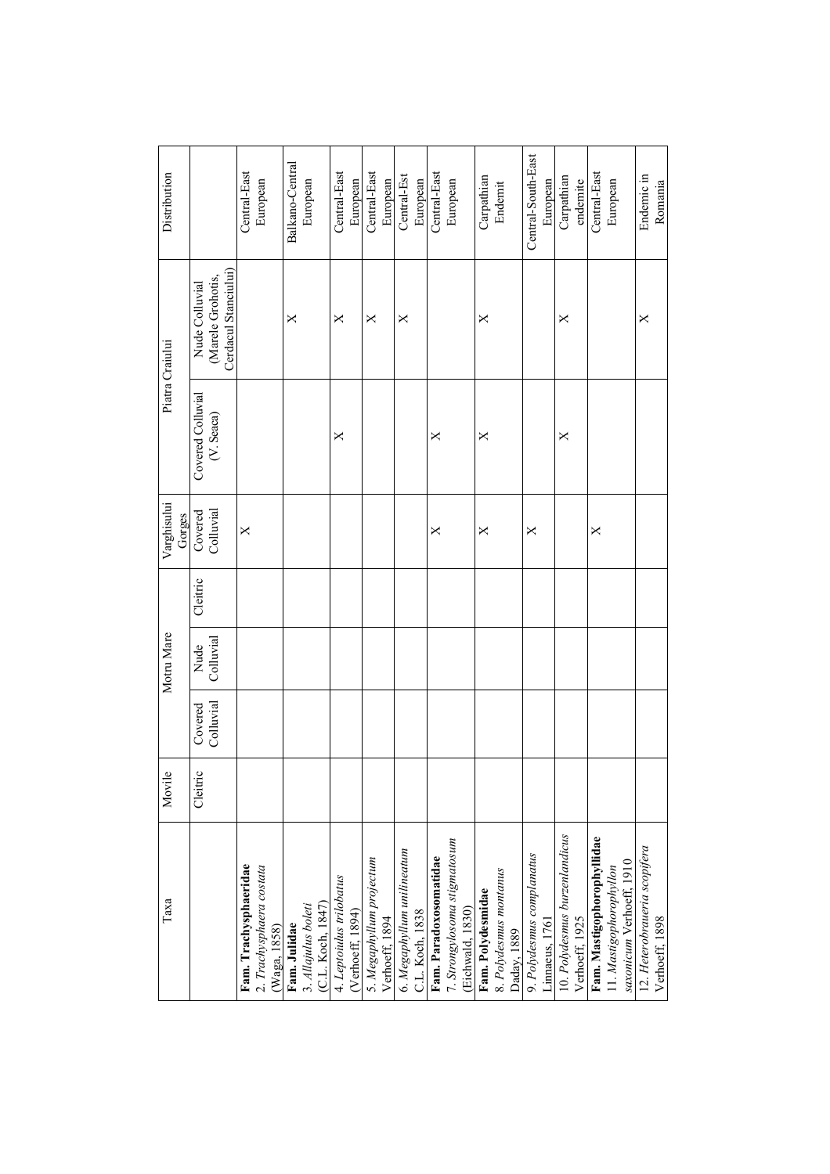| Motru Mare<br>Movile                                              |  |  | Varghisului<br>Gorges |                                 | Piatra Craiului                                             | Distribution       |
|-------------------------------------------------------------------|--|--|-----------------------|---------------------------------|-------------------------------------------------------------|--------------------|
| Cleitric<br>Colluvial<br>Nude<br>Colluvial<br>Covered<br>Cleitric |  |  | Colluvial<br>Covered  | Covered Colluvial<br>(V. Seaca) | Cerdacul Stanciului)<br>(Marele Grohotis,<br>Nude Colluvial |                    |
|                                                                   |  |  | $\times$              |                                 |                                                             | Central-East       |
|                                                                   |  |  |                       |                                 |                                                             | European           |
|                                                                   |  |  |                       |                                 | ×                                                           | Balkano-Central    |
|                                                                   |  |  |                       |                                 |                                                             | European           |
|                                                                   |  |  |                       | $\times$                        | ×                                                           | Central-East       |
|                                                                   |  |  |                       |                                 |                                                             | European           |
|                                                                   |  |  |                       |                                 | ×                                                           | Central-East       |
|                                                                   |  |  |                       |                                 |                                                             | European           |
|                                                                   |  |  |                       |                                 | ×                                                           | Central-Est        |
|                                                                   |  |  |                       |                                 |                                                             | European           |
|                                                                   |  |  | ×                     | ×                               |                                                             | Central-East       |
|                                                                   |  |  |                       |                                 |                                                             | European           |
|                                                                   |  |  |                       |                                 |                                                             |                    |
|                                                                   |  |  | ×                     | ×                               | ×                                                           | Carpathian         |
|                                                                   |  |  |                       |                                 |                                                             | Endemit            |
|                                                                   |  |  |                       |                                 |                                                             |                    |
|                                                                   |  |  | ×                     |                                 |                                                             | Central-South-East |
|                                                                   |  |  |                       |                                 |                                                             | European           |
|                                                                   |  |  |                       | X                               | ×                                                           | Carpathian         |
|                                                                   |  |  |                       |                                 |                                                             | endemite           |
|                                                                   |  |  | X                     |                                 |                                                             | Central-East       |
|                                                                   |  |  |                       |                                 |                                                             | European           |
|                                                                   |  |  |                       |                                 |                                                             |                    |
|                                                                   |  |  |                       |                                 | ×                                                           | Endemic in         |
|                                                                   |  |  |                       |                                 |                                                             | Romania            |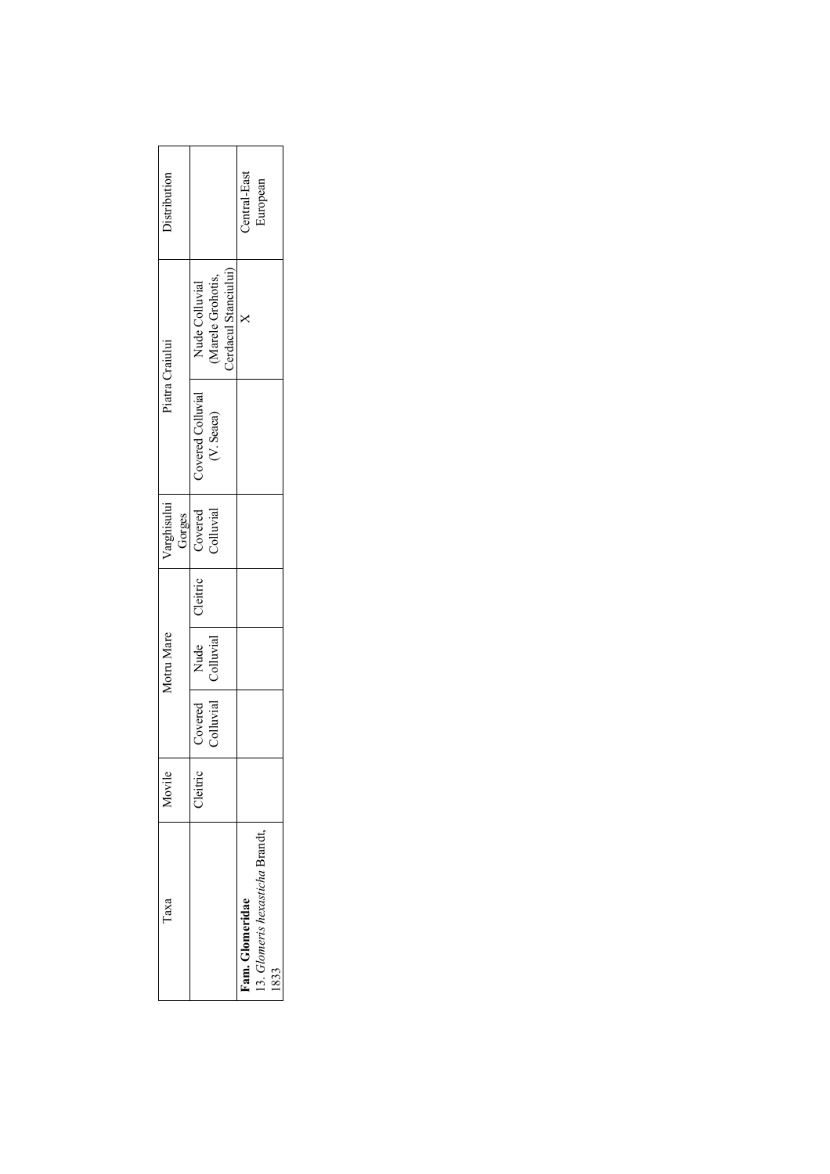| Taxa                          | Aovile   | Motru Mare                | varghisului |                   | Piatra Craiului      | <b>Distribution</b> |  |
|-------------------------------|----------|---------------------------|-------------|-------------------|----------------------|---------------------|--|
|                               |          |                           | Gorges      |                   |                      |                     |  |
|                               | Cleitric | Covered   Nude   Cleitric | Covered     | Covered Colluvial | Nude Colluvial       |                     |  |
|                               |          | Colluvial Colluvial       | Colluvial   | (V. Seaca)        | Marele Grohotis,     |                     |  |
|                               |          |                           |             |                   | Cerdacul Stanciului) |                     |  |
| am. Glomeridae                |          |                           |             |                   |                      | Central-East        |  |
| 13. Glomeris hexasticha Brand |          |                           |             |                   |                      | iuropean            |  |
|                               |          |                           |             |                   |                      |                     |  |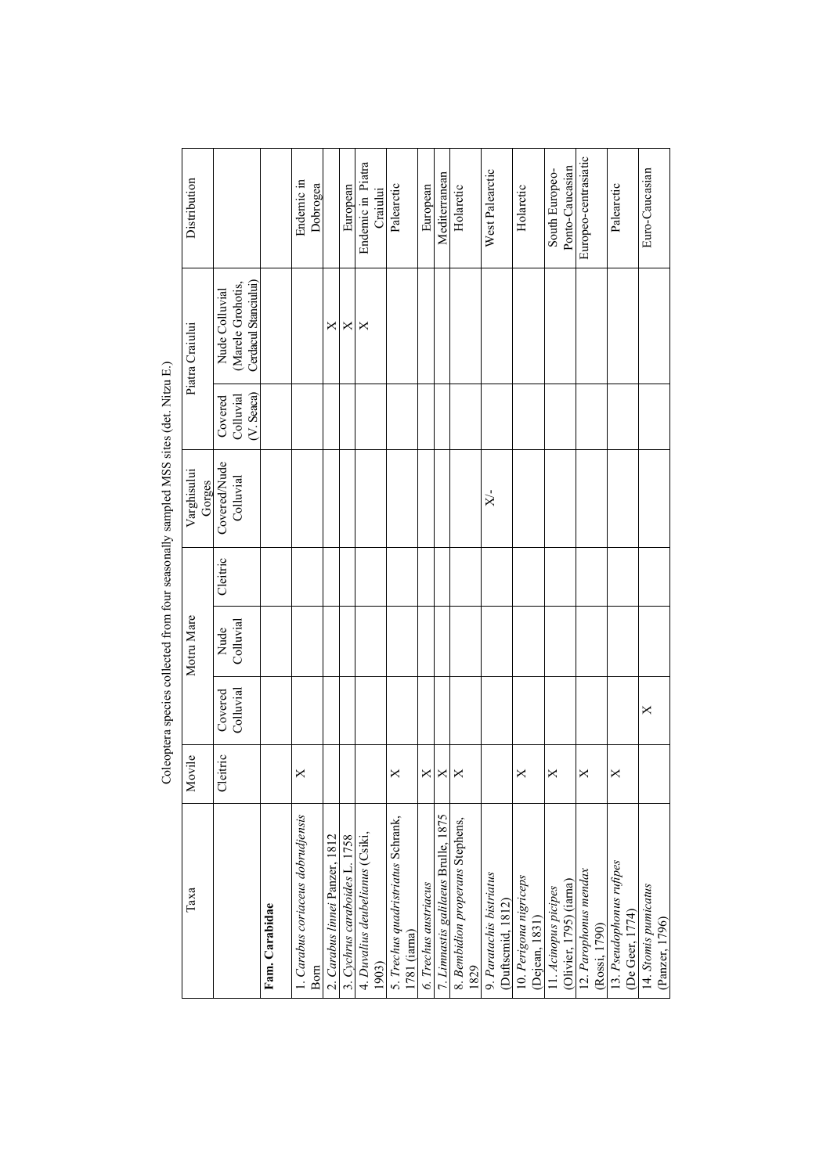| Distribution          |                                                             |                | Endemic in                        | Dobrogea |                                | European                      | Endemic in Piatra<br>Craiului            | Palearctic                                         | European              | Mediterranean                       | Holarctic                        |      | West Palearctic          |                   | Holarctic                                | South Europeo-       | Ponto-Caucasian         | Europeo-centrasiatic  |               | Palearctic               |                 | Euro-Caucasian                         |
|-----------------------|-------------------------------------------------------------|----------------|-----------------------------------|----------|--------------------------------|-------------------------------|------------------------------------------|----------------------------------------------------|-----------------------|-------------------------------------|----------------------------------|------|--------------------------|-------------------|------------------------------------------|----------------------|-------------------------|-----------------------|---------------|--------------------------|-----------------|----------------------------------------|
| Piatra Craiului       | Cerdacul Stanciului)<br>(Marele Grohotis,<br>Nude Colluvial |                |                                   |          | ×                              | ×                             | ×                                        |                                                    |                       |                                     |                                  |      |                          |                   |                                          |                      |                         |                       |               |                          |                 |                                        |
|                       | (V. Seaca)<br>Colluvial<br>$\mathop{\rm Covered}\nolimits$  |                |                                   |          |                                |                               |                                          |                                                    |                       |                                     |                                  |      |                          |                   |                                          |                      |                         |                       |               |                          |                 |                                        |
| Varghisului<br>Gorges | Covered/Nude<br>Colluvial                                   |                |                                   |          |                                |                               |                                          |                                                    |                       |                                     |                                  |      | $X^{\prime}$             |                   |                                          |                      |                         |                       |               |                          |                 |                                        |
|                       | Cleitric                                                    |                |                                   |          |                                |                               |                                          |                                                    |                       |                                     |                                  |      |                          |                   |                                          |                      |                         |                       |               |                          |                 |                                        |
| Motru Mare            | Colluvial<br>Nude                                           |                |                                   |          |                                |                               |                                          |                                                    |                       |                                     |                                  |      |                          |                   |                                          |                      |                         |                       |               |                          |                 |                                        |
|                       | Colluvial<br>Covered                                        |                |                                   |          |                                |                               |                                          |                                                    |                       |                                     |                                  |      |                          |                   |                                          |                      |                         |                       |               |                          |                 | ×                                      |
| Movile                | Cleitric                                                    |                |                                   |          |                                |                               |                                          |                                                    |                       |                                     |                                  |      |                          |                   |                                          |                      |                         |                       |               |                          |                 |                                        |
| Таха                  |                                                             | Fam. Carabidae | 1. Carabus coriaceus dobrudjensis | Born     | 2. Carabus linnei Panzer, 1812 | 3. Cychrus caraboides L. 1758 | 4. Duvalius deubelianus (Csiki,<br>1903) | 5. Trechus quadristriatus Schrank,<br>1781 (iarna) | 6. Trechus austriacus | 7. Linnastis galilaeus Brulle, 1875 | 8. Bembidion properans Stephens, | 1829 | 9. Paratachis bistriatus | (Duftscmid, 1812) | 10. Perigona nigriceps<br>(Dejean, 1831) | 11. Acinopus picipes | (Olivier, 1795) (iarna) | 12. Parophonus mendax | (Rossi, 1790) | 13. Pseudophonus rufipes | (De Geer, 1774) | 14. Stomis pumicatus<br>(Panzer, 1796) |

Coleoptera species collected from four seasonally sampled MSS sites (det. Nitzu E.) Coleoptera species collected from four seasonally sampled MSS sites (det. Nitzu E.)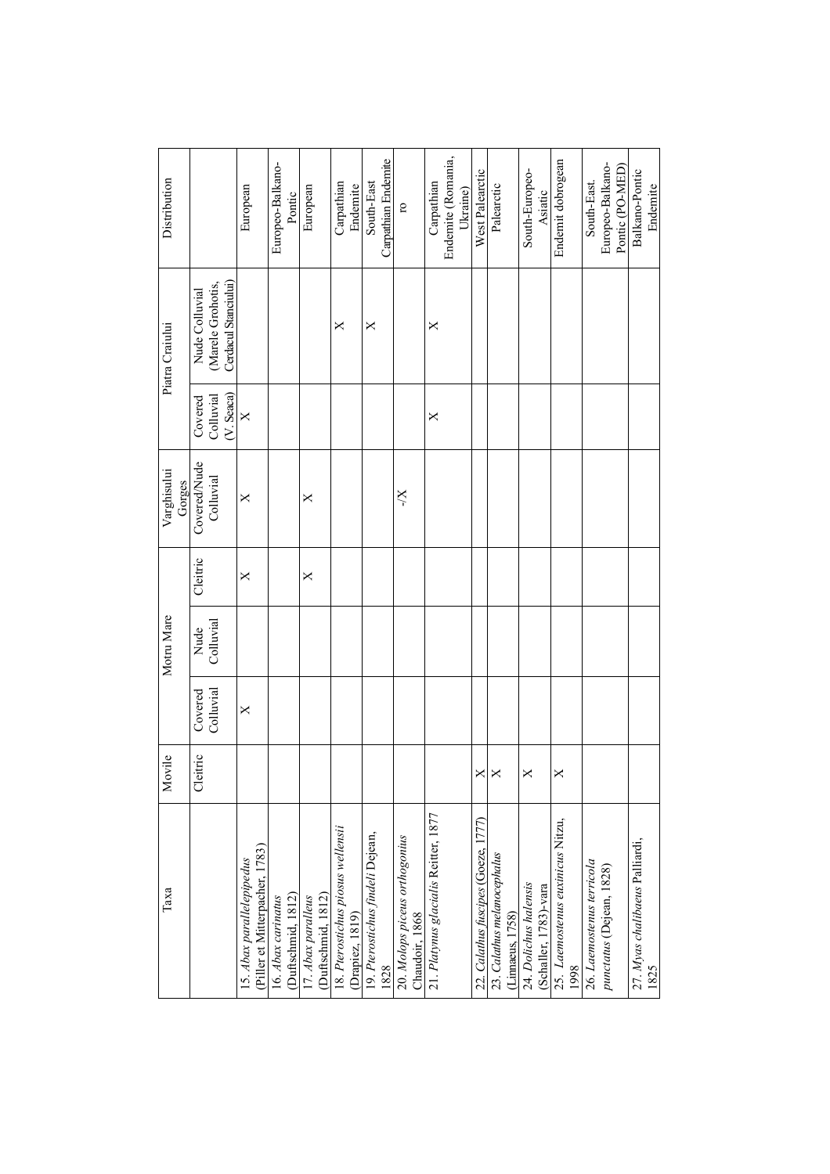| Таха                                                        | Movile   |           | Motru Mare |          | Varghisului<br>Gorges |                              | Piatra Craiului                           | Distribution                   |
|-------------------------------------------------------------|----------|-----------|------------|----------|-----------------------|------------------------------|-------------------------------------------|--------------------------------|
|                                                             | Cleitric | Covered   | Nude       | Cleitric | Covered/Nude          | Covered                      | Nude Colluvial                            |                                |
|                                                             |          | Colluvial | Colluvial  |          | Colluvial             | $(V.$ Seaca $)$<br>Colluvial | Cerdacul Stanciului)<br>(Marele Grohotis, |                                |
| (Piller et Mitterpacher, 1783)<br>15. Abax parallelepipedus |          | X         |            | ×        | $\times$              | $\times$                     |                                           | European                       |
| 16. Abax carinatus                                          |          |           |            |          |                       |                              |                                           | Europeo-Balkano-               |
| (Duftschmid, 1812)                                          |          |           |            |          |                       |                              |                                           | Pontic                         |
| (Duftschmid, 1812)<br>17. Abax paralleus                    |          |           |            | ×        | ×                     |                              |                                           | European                       |
| 18. Pterostichus piosus wellensii                           |          |           |            |          |                       |                              | ×                                         | Carpathian                     |
| (Drapiez, 1819)                                             |          |           |            |          |                       |                              |                                           | Endemite                       |
| 19. Pterostichus findeli Dejean,                            |          |           |            |          |                       |                              | ×                                         | South-East                     |
| 1828                                                        |          |           |            |          |                       |                              |                                           | Carpathian Endemite            |
| 20. Molops piceus orthogonius<br>Chaudoir, 1868             |          |           |            |          | X-                    |                              |                                           | $\overline{\mathbf{C}}$        |
| 21. Platynus glacialis Reitter, 1877                        |          |           |            |          |                       | $\times$                     | ×                                         | Carpathian                     |
|                                                             |          |           |            |          |                       |                              |                                           | Endemite (Romania,<br>Ukraine) |
| 22. Calathus fuscipes (Goeze, 1777)                         | ×        |           |            |          |                       |                              |                                           | West Palearctic                |
| 23. Calathus melanocephalus                                 | ×        |           |            |          |                       |                              |                                           | Palearctic                     |
| (Limaeus, 1758)                                             |          |           |            |          |                       |                              |                                           |                                |
| 24. Dolichus halensis                                       | ×        |           |            |          |                       |                              |                                           | South-Europeo-                 |
| (Schaller, 1783)-vara                                       |          |           |            |          |                       |                              |                                           | Asiatic                        |
| 25. Laemostenus euxinicus Nitzu,<br>1998                    | ×        |           |            |          |                       |                              |                                           | Endemit dobrogean              |
| 26. Laemostenus terricola                                   |          |           |            |          |                       |                              |                                           | South-East.                    |
| punctatus (Dejean, 1828)                                    |          |           |            |          |                       |                              |                                           | Europeo-Balkano-               |
|                                                             |          |           |            |          |                       |                              |                                           | Pontic (PO-MED)                |
| 27. Myas chalibaeus Palliardi,                              |          |           |            |          |                       |                              |                                           | Balkano-Pontic                 |
| 1825                                                        |          |           |            |          |                       |                              |                                           | Endemite                       |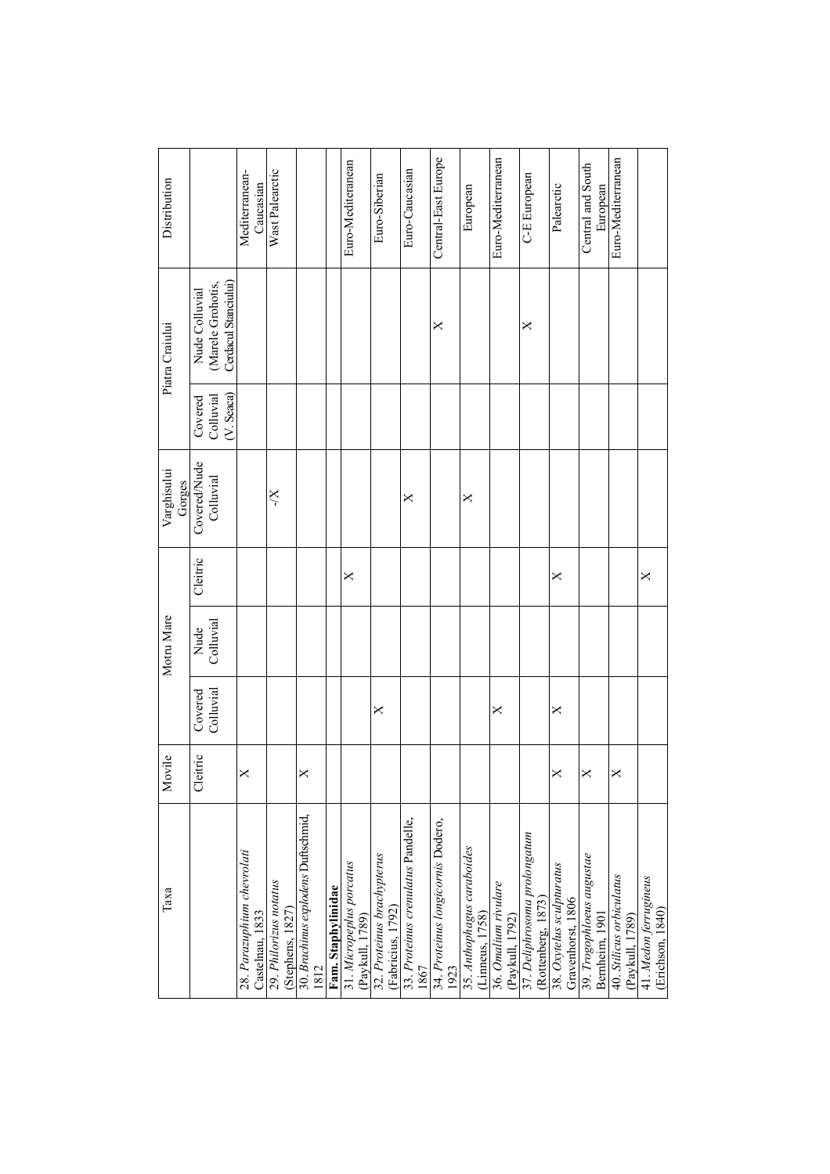| Distribution          |                                                             | Mediterranean-<br>Caucasian                   | Wast Palearctic                            |                                             |                    | Euro-Mediteranean                           | Euro-Siberian                                   | Euro-Caucasian                             | Central-East Europe                       | European                   | Euro-Mediterranean                                         | C-E European                                       | Palearctic                                     | Central and South<br>European               | Euro-Mediterranean                          |                                           |
|-----------------------|-------------------------------------------------------------|-----------------------------------------------|--------------------------------------------|---------------------------------------------|--------------------|---------------------------------------------|-------------------------------------------------|--------------------------------------------|-------------------------------------------|----------------------------|------------------------------------------------------------|----------------------------------------------------|------------------------------------------------|---------------------------------------------|---------------------------------------------|-------------------------------------------|
| Piatra Craiului       | Cerdacul Stanciului)<br>(Marele Grohotis,<br>Nude Colluvial |                                               |                                            |                                             |                    |                                             |                                                 |                                            | ×                                         |                            |                                                            | ×                                                  |                                                |                                             |                                             |                                           |
|                       | (V. Seaca)<br>Colluvial<br>Covered                          |                                               |                                            |                                             |                    |                                             |                                                 |                                            |                                           |                            |                                                            |                                                    |                                                |                                             |                                             |                                           |
| Varghisului<br>Gorges | Covered/Nude<br>Colluvial                                   |                                               | X-                                         |                                             |                    |                                             |                                                 | ×                                          |                                           | ×                          |                                                            |                                                    |                                                |                                             |                                             |                                           |
|                       | Cleitric                                                    |                                               |                                            |                                             |                    | ×                                           |                                                 |                                            |                                           |                            |                                                            |                                                    | X                                              |                                             |                                             | $\times$                                  |
| Motru Mare            | Colluvial<br>Nude                                           |                                               |                                            |                                             |                    |                                             |                                                 |                                            |                                           |                            |                                                            |                                                    |                                                |                                             |                                             |                                           |
|                       | Colluvial<br>Covered                                        |                                               |                                            |                                             |                    |                                             | ×                                               |                                            |                                           |                            | ×                                                          |                                                    | ×                                              |                                             |                                             |                                           |
| Movile                | Cleitric                                                    |                                               |                                            |                                             |                    |                                             |                                                 |                                            |                                           |                            |                                                            |                                                    |                                                |                                             |                                             |                                           |
| Таха                  |                                                             | 28. Parazuphium chevrolati<br>Castelnau, 1833 | 29. Philorizus notatus<br>(Stephens, 1827) | 30. Brachinus explodens Duftschmid,<br>1812 | Fam. Staphylinidae | 31. Micropeplus porcatus<br>(Paykull, 1789) | 32. Proteinus brachypterus<br>(Fabricius, 1792) | 33. Proteinus crenulatus Pandelle,<br>1867 | 34. Proteinus longicornis Dodero,<br>1923 | 35. Anthophagus caraboides | (Linneus, 1758)<br>36. Omalium rivulare<br>(Paykull, 1792) | 37. Deliphrosoma prolongatum<br>(Rottenberg, 1873) | 38. Oxytelus sculpturatus<br>Gravenhorst, 1806 | 39. Trogophloeus augustae<br>Bernheim, 1901 | 40. Stilicus orbiculatus<br>(Paykull, 1789) | 41. Medon ferrugineus<br>(Erichson, 1840) |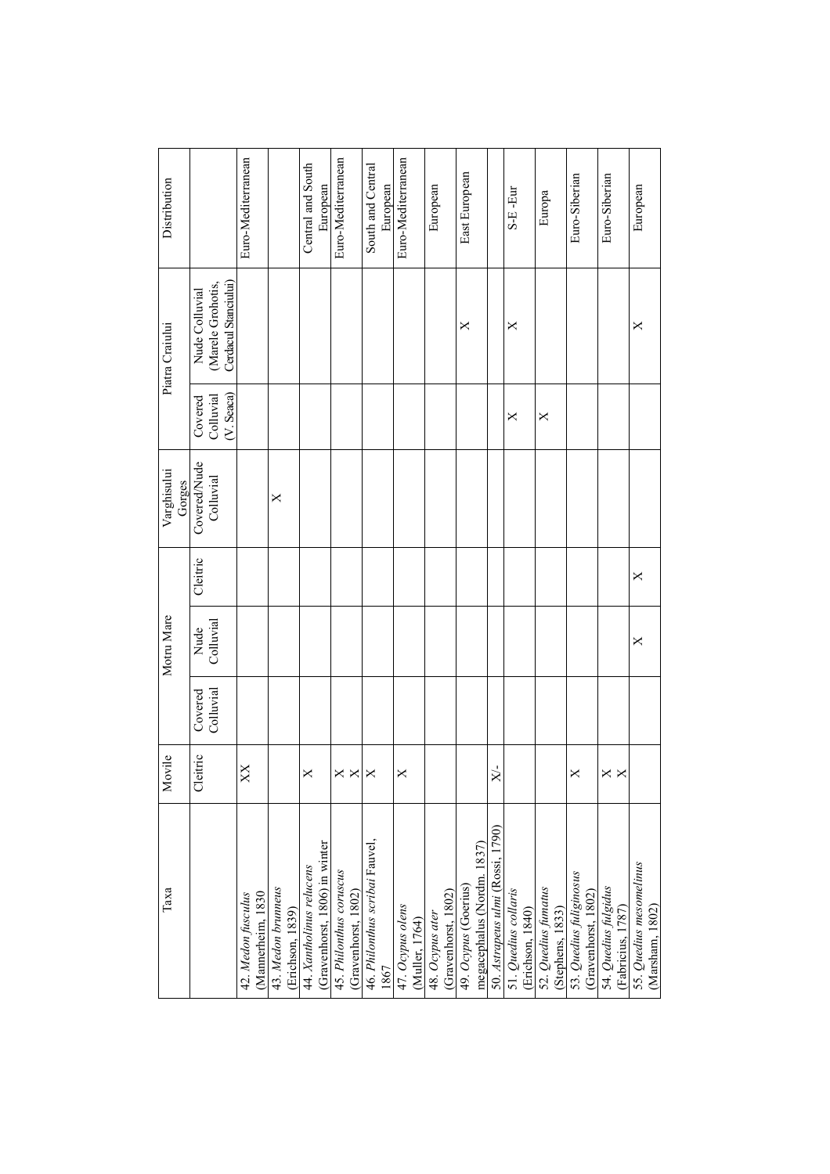| Таха                                                          | Movile          |                      | Motru Mare        |          | Varghisului<br>Gorges     |                                   | Piatra Craiului                                             | Distribution                  |
|---------------------------------------------------------------|-----------------|----------------------|-------------------|----------|---------------------------|-----------------------------------|-------------------------------------------------------------|-------------------------------|
|                                                               | Cleitric        | Colluvial<br>Covered | Colluvial<br>Nude | Cleitric | Covered/Nude<br>Colluvial | (V.Seaca)<br>Colluvial<br>Covered | Cerdacul Stanciului)<br>(Marele Grohotis,<br>Nude Colluvial |                               |
| (Mannerheim, 1830<br>42. Medon fusculus                       | XX              |                      |                   |          |                           |                                   |                                                             | Euro-Mediterranean            |
| 43. Medon brunneus<br>(Erichson, 1839)                        |                 |                      |                   |          | ×                         |                                   |                                                             |                               |
| (Gravenhorst, 1806) in winter<br>44. Xantholinus relucens     | ×               |                      |                   |          |                           |                                   |                                                             | Central and South<br>European |
| 45. Philonthus coruscus                                       | $\times \times$ |                      |                   |          |                           |                                   |                                                             | Euro-Mediterranean            |
| (Gravenhorst, 1802)<br>46. Philonthus scribai Fauvel,<br>1867 | ×               |                      |                   |          |                           |                                   |                                                             | South and Central<br>European |
| 47. Ocypus olens<br>(Muller, 1764)                            | $\times$        |                      |                   |          |                           |                                   |                                                             | Euro-Mediterranean            |
| (Gravenhorst, 1802)<br>48. Ocypus ater                        |                 |                      |                   |          |                           |                                   |                                                             | European                      |
| megacephalus (Nordm. 1837)<br>49. Ocypus (Goerius)            |                 |                      |                   |          |                           |                                   | ×                                                           | East European                 |
| 50. Astrapeus ulmi (Rossi, 1790)                              | Ŀ<br>$\approx$  |                      |                   |          |                           |                                   |                                                             |                               |
| 51. Quedius collaris<br>(Erichson, 1840)                      |                 |                      |                   |          |                           | ×                                 | ×                                                           | S-E-Eur                       |
| 52. Quedius fumatus<br>(Stephens, 1833)                       |                 |                      |                   |          |                           | ×                                 |                                                             | Europa                        |
| 53. Quedius fuliginosus<br>(Gravenhorst, 1802)                | ×               |                      |                   |          |                           |                                   |                                                             | Euro-Siberian                 |
| 54. Quedius fulgidus<br>(Fabricius, 1787)                     | ×               |                      |                   |          |                           |                                   |                                                             | Euro-Siberian                 |
| 55. Quedius mesomelinus<br>(Marsham, 1802)                    |                 |                      | X                 | X        |                           |                                   | ×                                                           | European                      |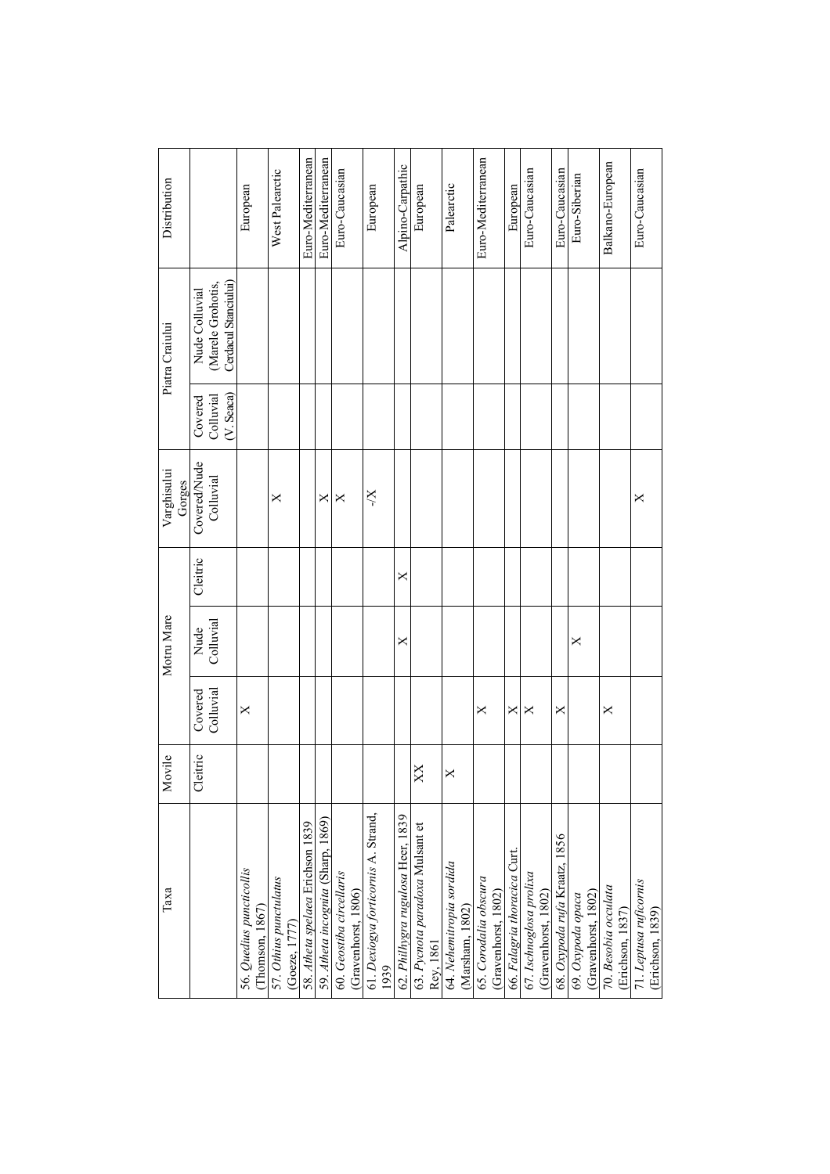| Таха                                            | Movile   |                      | Motru Mare        |          | Varghisului<br>Gorges     |                                         | Piatra Craiului                                             | Distribution       |
|-------------------------------------------------|----------|----------------------|-------------------|----------|---------------------------|-----------------------------------------|-------------------------------------------------------------|--------------------|
|                                                 | Cleitric | Colluvial<br>Covered | Colluvial<br>Nude | Cleitric | Covered/Nude<br>Colluvial | $(V.$ Seaca $)$<br>Colluvial<br>Covered | Cerdacul Stanciului)<br>(Marele Grohotis,<br>Nude Colluvial |                    |
| 56. Quedius puncticollis<br>Thomson, 1867       |          | $\times$             |                   |          |                           |                                         |                                                             | European           |
| 57. Othius punctulatus<br>(Goeze, 1777)         |          |                      |                   |          | ×                         |                                         |                                                             | West Palearctic    |
| 58. Atheta spelaea Erichson 1839                |          |                      |                   |          |                           |                                         |                                                             | Euro-Mediterranean |
| 59. Atheta incognita (Sharp, 1869)              |          |                      |                   |          | ×                         |                                         |                                                             | Euro-Mediterranean |
| 60. Geostiba circellaris<br>(Gravenhorst, 1806) |          |                      |                   |          | ×                         |                                         |                                                             | Euro-Caucasian     |
| 61. Dexiogya forticornis A. Strand,<br>1939     |          |                      |                   |          | X/-                       |                                         |                                                             | European           |
| 62. Philhygra rugulosa Heer, 1839               |          |                      | ×                 | X        |                           |                                         |                                                             | Alpino-Carpathic   |
| 63. Pycnota paradoxa Mulsant et<br>Rey, 1861    | XX       |                      |                   |          |                           |                                         |                                                             | European           |
| 64. Nehemitropia sordida<br>(Marsham, 1802)     | $\times$ |                      |                   |          |                           |                                         |                                                             | Palearctic         |
| 65. Corodalia obscura<br>(Gravenhorst, 1802)    |          | $\times$             |                   |          |                           |                                         |                                                             | Euro-Mediterranean |
| 66. Falagria thoracica Curt                     |          | ×                    |                   |          |                           |                                         |                                                             | European           |
| 67. Ischnoglosa prolixa<br>(Gravenhorst, 1802)  |          | ×                    |                   |          |                           |                                         |                                                             | Euro-Caucasian     |
| 68. Oxypoda rufa Kraatz, 1856                   |          | ×                    |                   |          |                           |                                         |                                                             | Euro-Caucasian     |
| (Gravenhorst, 1802)<br>69. Oxypoda opaca        |          |                      | ×                 |          |                           |                                         |                                                             | Euro-Siberian      |
| 70. Besobia occulata<br>(Erichson, 1837)        |          | ×                    |                   |          |                           |                                         |                                                             | Balkano-European   |
| 71. Leptusa ruficornis<br>(Erichson, 1839)      |          |                      |                   |          | ×                         |                                         |                                                             | Euro-Caucasian     |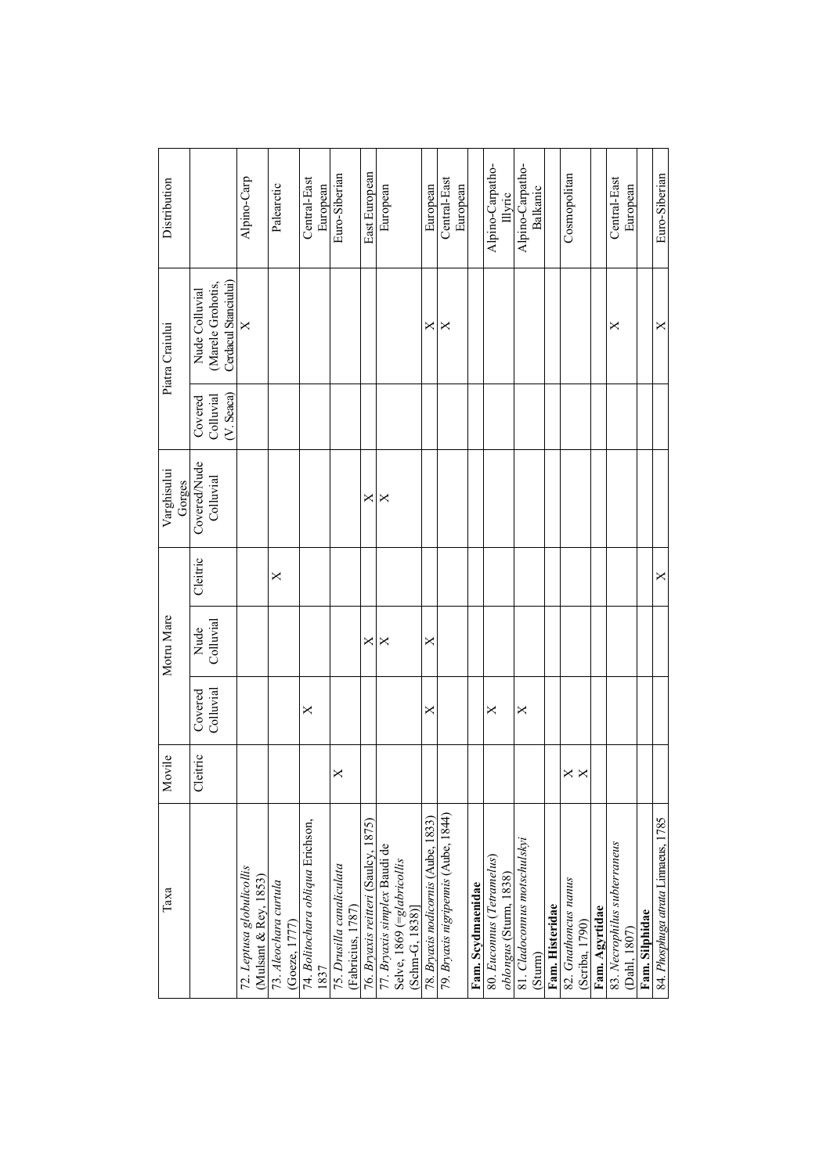| Таха                                                                          | Movile         |                      | Motru Mare        |          | Varghisului<br>Gorges     |                                      | Piatra Craiului                                             | Distribution                 |
|-------------------------------------------------------------------------------|----------------|----------------------|-------------------|----------|---------------------------|--------------------------------------|-------------------------------------------------------------|------------------------------|
|                                                                               | Cleitric       | Colluvial<br>Covered | Colluvial<br>Nude | Cleitric | Covered/Nude<br>Colluvial | $(V.$ Seaca)<br>Colluvial<br>Covered | Cerdacul Stanciului)<br>(Marele Grohotis,<br>Nude Colluvial |                              |
| 72. Leptusa globulicollis<br>(Mulsant & Rey, 1853)                            |                |                      |                   |          |                           |                                      | $\times$                                                    | Alpino-Carp                  |
| 73. Aleochara curtula<br>(Goeze, 1777)                                        |                |                      |                   | ×        |                           |                                      |                                                             | Palearctic                   |
| 74. Bolitochara obliqua Erichson,<br>1837                                     |                | ×                    |                   |          |                           |                                      |                                                             | Central-East<br>European     |
| 75. Drusilla canaliculata<br>(Fabricius, 1787)                                | ×              |                      |                   |          |                           |                                      |                                                             | Euro-Siberian                |
| 1875)<br>76. Bryaxis reitteri (Saulcy,                                        |                |                      | ×                 |          | ×                         |                                      |                                                             | East European                |
| 77. Bryaxis simplex Baudi de<br>Selve, 1869 (=glabricollis<br>(Schm-G, 1838)] |                |                      | ×                 |          | ×                         |                                      |                                                             | European                     |
| 78. Bryaxis nodicornis (Aube, 1833)                                           |                | ×                    | X                 |          |                           |                                      | ×                                                           | European                     |
| 79. Bryaxis nigripennis (Aube, 1844)                                          |                |                      |                   |          |                           |                                      | ×                                                           | Central-East<br>European     |
| Fam. Scydmaenidae                                                             |                |                      |                   |          |                           |                                      |                                                             |                              |
| 80. Euconnus (Tetramelus)<br><i>oblongus</i> (Sturm, 1838)                    |                | $\times$             |                   |          |                           |                                      |                                                             | Alpino-Carpatho-<br>Illyric  |
| 81. Cladoconnus motschulskyi<br>(Sturm)                                       |                | ×                    |                   |          |                           |                                      |                                                             | Alpino-Carpatho-<br>Balkanic |
| Fam. Histeridae                                                               |                |                      |                   |          |                           |                                      |                                                             |                              |
| 82. Gnathoncus nanus<br>(Scriba, 1790)                                        | ×.<br>$\times$ |                      |                   |          |                           |                                      |                                                             | Cosmopolitan                 |
| Fam. Agyrtidae                                                                |                |                      |                   |          |                           |                                      |                                                             |                              |
| 83. Necrophilus subterraneus<br>(Dahl, 1807)                                  |                |                      |                   |          |                           |                                      | ×                                                           | Central-East<br>European     |
| Fam. Silphidae                                                                |                |                      |                   |          |                           |                                      |                                                             |                              |
| 84. Phosphuga atrata Linnaeus, 1785                                           |                |                      |                   | X        |                           |                                      | ×                                                           | Euro-Siberian                |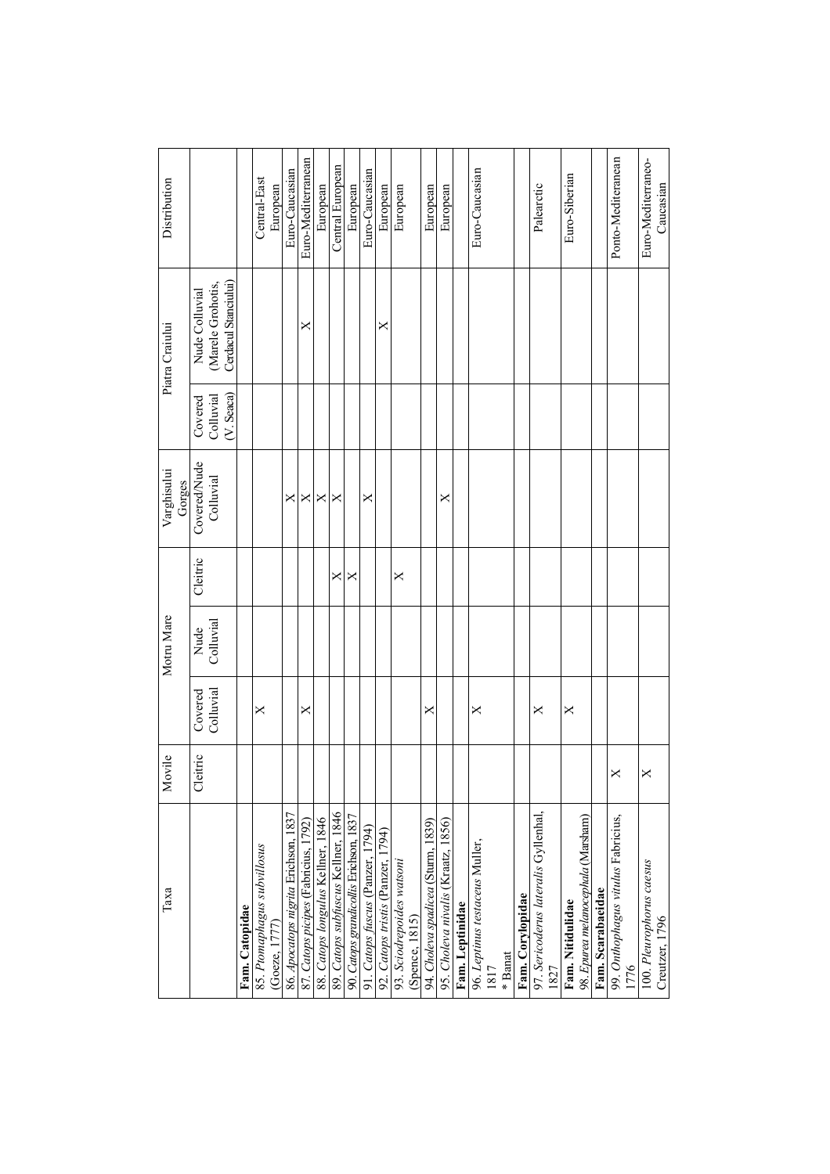| Distribution          |                                                             |                | Central-East                | European      | Euro-Caucasian                       | Euro-Mediterranean                   | European                          | Central European                   | European                               | Euro-Caucasian                   | European                          | European                  |                | European                           | European                           |                 | Euro-Caucasian |                                               |         |                  | Palearctic                           |      | Euro-Siberian    |                                    |                   | Ponto-Mediteranean                         |                          | Euro-Mediterraneo-<br>Caucasian |
|-----------------------|-------------------------------------------------------------|----------------|-----------------------------|---------------|--------------------------------------|--------------------------------------|-----------------------------------|------------------------------------|----------------------------------------|----------------------------------|-----------------------------------|---------------------------|----------------|------------------------------------|------------------------------------|-----------------|----------------|-----------------------------------------------|---------|------------------|--------------------------------------|------|------------------|------------------------------------|-------------------|--------------------------------------------|--------------------------|---------------------------------|
| Piatra Craiului       | Cerdacul Stanciului)<br>(Marele Grohotis,<br>Nude Colluvial |                |                             |               |                                      | ×                                    |                                   |                                    |                                        |                                  |                                   |                           |                |                                    |                                    |                 |                |                                               |         |                  |                                      |      |                  |                                    |                   |                                            |                          |                                 |
|                       | $(V.$ Seaca $)$<br>Colluvial<br>Covered                     |                |                             |               |                                      |                                      |                                   |                                    |                                        |                                  |                                   |                           |                |                                    |                                    |                 |                |                                               |         |                  |                                      |      |                  |                                    |                   |                                            |                          |                                 |
| Varghisului<br>Gorges | Covered/Nude<br>Colluvial                                   |                |                             |               | ×                                    | ×                                    | ×                                 | ×                                  |                                        | ×                                |                                   |                           |                |                                    | ×                                  |                 |                |                                               |         |                  |                                      |      |                  |                                    |                   |                                            |                          |                                 |
|                       | Cleitric                                                    |                |                             |               |                                      |                                      |                                   | ×                                  | ×                                      |                                  |                                   | ×                         |                |                                    |                                    |                 |                |                                               |         |                  |                                      |      |                  |                                    |                   |                                            |                          |                                 |
| Motru Mare            | Colluvial<br>Nude                                           |                |                             |               |                                      |                                      |                                   |                                    |                                        |                                  |                                   |                           |                |                                    |                                    |                 |                |                                               |         |                  |                                      |      |                  |                                    |                   |                                            |                          |                                 |
|                       | Colluvial<br>Covered                                        |                | ×                           |               |                                      | ×                                    |                                   |                                    |                                        |                                  |                                   |                           |                | ×                                  |                                    |                 | ×              |                                               |         |                  | ×                                    |      | X                |                                    |                   |                                            |                          |                                 |
| Movile                | Cleitric                                                    |                |                             |               |                                      |                                      |                                   |                                    |                                        |                                  |                                   |                           |                |                                    |                                    |                 |                |                                               |         |                  |                                      |      |                  |                                    |                   | ×                                          |                          | ×                               |
| Таха                  |                                                             | Fam. Catopidae | 85. Ptomaphagus subvillosus | (Goeze, 1777) | 86. Apocatops nigrita Erichson, 1837 | 87. Catops picipes (Fabricius, 1792) | 88. Catops longulus Kellner, 1846 | 89. Catops subfuscus Kellner, 1846 | 90. Catops grandicollis Erichson, 1837 | 91. Catops fuscus (Panzer, 1794) | 92. Catops tristis (Panzer, 1794) | 93. Sciodrepoides watsoni | (Spence, 1815) | 94. Choleva spadicea (Sturm, 1839) | 95. Choleva nivalis (Kraatz, 1856) | Fam. Leptinidae |                | 96. <i>Leptinus testaceus</i> Muller,<br>1817 | * Banat | Fam. Corylopidae | 97. Sericoderus lateralis Gyllenhal, | 1827 | Fam. Nitidulidae | 98. Epurea melanocephala (Marsham) | Fam. Scarabaeidae | 99. Onthophagus vitulus Fabricius,<br>1776 | 100. Pleurophorus caesus | Creutzer, 1796                  |